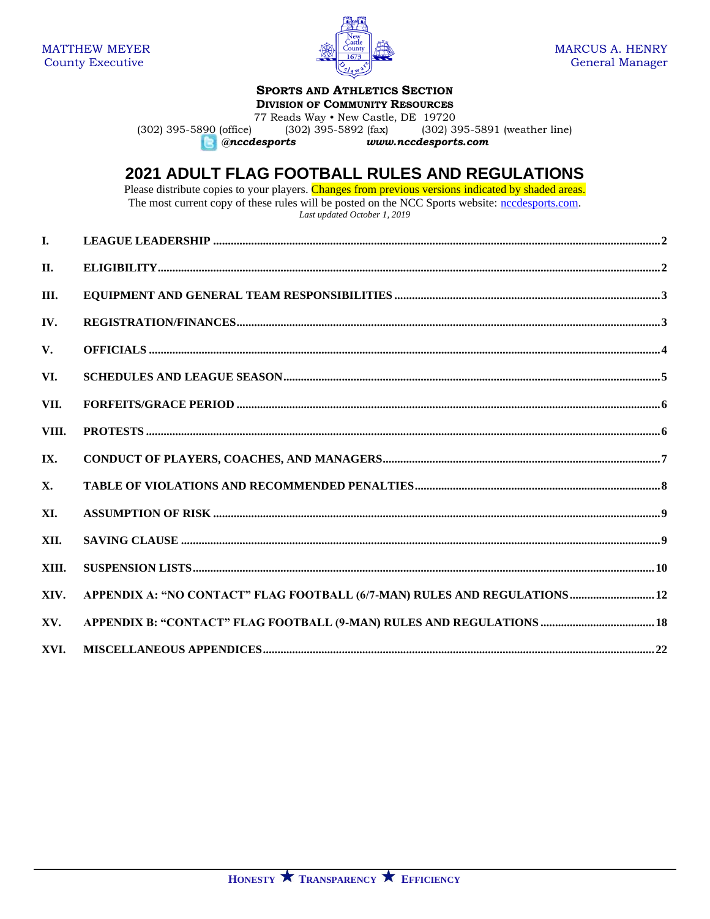

# **SPORTS AND ATHLETICS SECTION**

**DIVISION OF COMMUNITY RESOURCES**

77 Reads Way • New Castle, DE 19720<br>(302) 395-5892 (fax) (302) 3 (302) 395-5890 (office) (302) 395-5892 (fax) (302) 395-5891 (weather line) (302)  $\frac{1}{395}$ -5891 (weather line) *@nccdesports www.nccdesports.com*

# **2021 ADULT FLAG FOOTBALL RULES AND REGULATIONS**

Please distribute copies to your players. Changes from previous versions indicated by shaded areas. The most current copy of these rules will be posted on the NCC Sports website: [nccdesports.com.](http://www.nccdesports.com/) *Last updated October 1, 2019*

| $\mathbf{L}$ |                                                                            |
|--------------|----------------------------------------------------------------------------|
| II.          |                                                                            |
| III.         |                                                                            |
| IV.          |                                                                            |
| V.           |                                                                            |
| VI.          |                                                                            |
| VII.         |                                                                            |
| VIII.        |                                                                            |
| IX.          |                                                                            |
| <b>X.</b>    |                                                                            |
| XI.          |                                                                            |
| XII.         |                                                                            |
| XIII.        |                                                                            |
| XIV.         | APPENDIX A: "NO CONTACT" FLAG FOOTBALL (6/7-MAN) RULES AND REGULATIONS  12 |
| XV.          |                                                                            |
| XVI.         |                                                                            |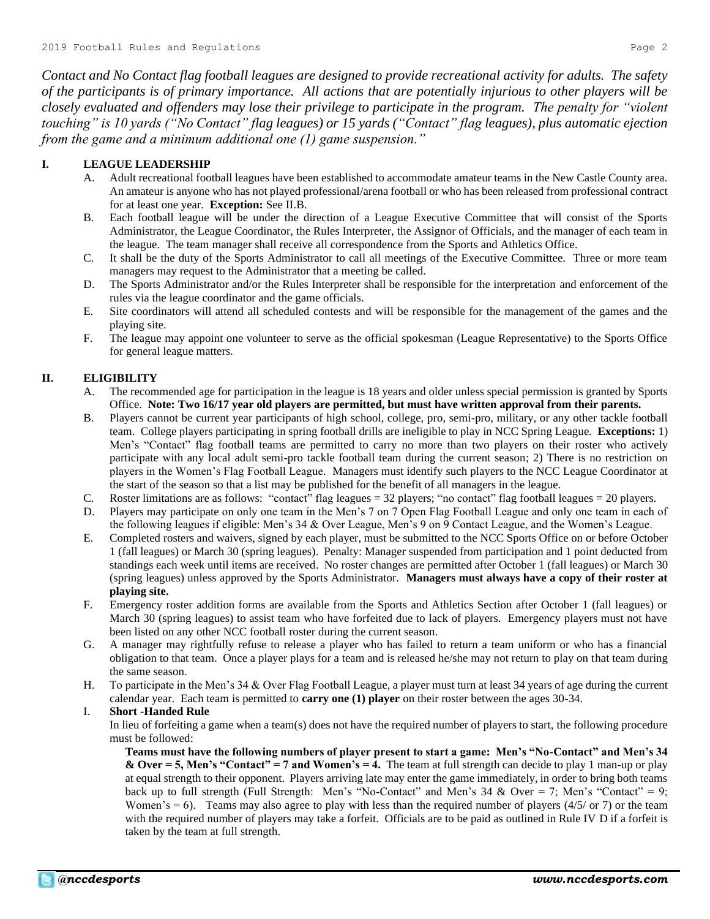*Contact and No Contact flag football leagues are designed to provide recreational activity for adults. The safety of the participants is of primary importance. All actions that are potentially injurious to other players will be closely evaluated and offenders may lose their privilege to participate in the program. The penalty for "violent touching" is 10 yards ("No Contact" flag leagues) or 15 yards ("Contact" flag leagues), plus automatic ejection from the game and a minimum additional one (1) game suspension."*

# **I. LEAGUE LEADERSHIP**

- A. Adult recreational football leagues have been established to accommodate amateur teams in the New Castle County area. An amateur is anyone who has not played professional/arena football or who has been released from professional contract for at least one year. **Exception:** See II.B.
- B. Each football league will be under the direction of a League Executive Committee that will consist of the Sports Administrator, the League Coordinator, the Rules Interpreter, the Assignor of Officials, and the manager of each team in the league. The team manager shall receive all correspondence from the Sports and Athletics Office.
- C. It shall be the duty of the Sports Administrator to call all meetings of the Executive Committee. Three or more team managers may request to the Administrator that a meeting be called.
- D. The Sports Administrator and/or the Rules Interpreter shall be responsible for the interpretation and enforcement of the rules via the league coordinator and the game officials.
- E. Site coordinators will attend all scheduled contests and will be responsible for the management of the games and the playing site.
- F. The league may appoint one volunteer to serve as the official spokesman (League Representative) to the Sports Office for general league matters.

# **II. ELIGIBILITY**

- A. The recommended age for participation in the league is 18 years and older unless special permission is granted by Sports Office. **Note: Two 16/17 year old players are permitted, but must have written approval from their parents.**
- B. Players cannot be current year participants of high school, college, pro, semi-pro, military, or any other tackle football team. College players participating in spring football drills are ineligible to play in NCC Spring League. **Exceptions:** 1) Men's "Contact" flag football teams are permitted to carry no more than two players on their roster who actively participate with any local adult semi-pro tackle football team during the current season; 2) There is no restriction on players in the Women's Flag Football League. Managers must identify such players to the NCC League Coordinator at the start of the season so that a list may be published for the benefit of all managers in the league.
- C. Roster limitations are as follows: "contact" flag leagues = 32 players; "no contact" flag football leagues = 20 players.
- D. Players may participate on only one team in the Men's 7 on 7 Open Flag Football League and only one team in each of the following leagues if eligible: Men's 34 & Over League, Men's 9 on 9 Contact League, and the Women's League.
- E. Completed rosters and waivers, signed by each player, must be submitted to the NCC Sports Office on or before October 1 (fall leagues) or March 30 (spring leagues). Penalty: Manager suspended from participation and 1 point deducted from standings each week until items are received. No roster changes are permitted after October 1 (fall leagues) or March 30 (spring leagues) unless approved by the Sports Administrator. **Managers must always have a copy of their roster at playing site.**
- F. Emergency roster addition forms are available from the Sports and Athletics Section after October 1 (fall leagues) or March 30 (spring leagues) to assist team who have forfeited due to lack of players. Emergency players must not have been listed on any other NCC football roster during the current season.
- G. A manager may rightfully refuse to release a player who has failed to return a team uniform or who has a financial obligation to that team. Once a player plays for a team and is released he/she may not return to play on that team during the same season.
- H. To participate in the Men's 34 & Over Flag Football League, a player must turn at least 34 years of age during the current calendar year. Each team is permitted to **carry one (1) player** on their roster between the ages 30-34.

# I. **Short -Handed Rule**

In lieu of forfeiting a game when a team(s) does not have the required number of players to start, the following procedure must be followed:

**Teams must have the following numbers of player present to start a game: Men's "No-Contact" and Men's 34 & Over = 5, Men's "Contact" = 7 and Women's = 4.** The team at full strength can decide to play 1 man-up or play at equal strength to their opponent. Players arriving late may enter the game immediately, in order to bring both teams back up to full strength (Full Strength: Men's "No-Contact" and Men's 34 & Over = 7; Men's "Contact" = 9; Women's = 6). Teams may also agree to play with less than the required number of players  $(4/5)$  or 7) or the team with the required number of players may take a forfeit. Officials are to be paid as outlined in Rule IV D if a forfeit is taken by the team at full strength.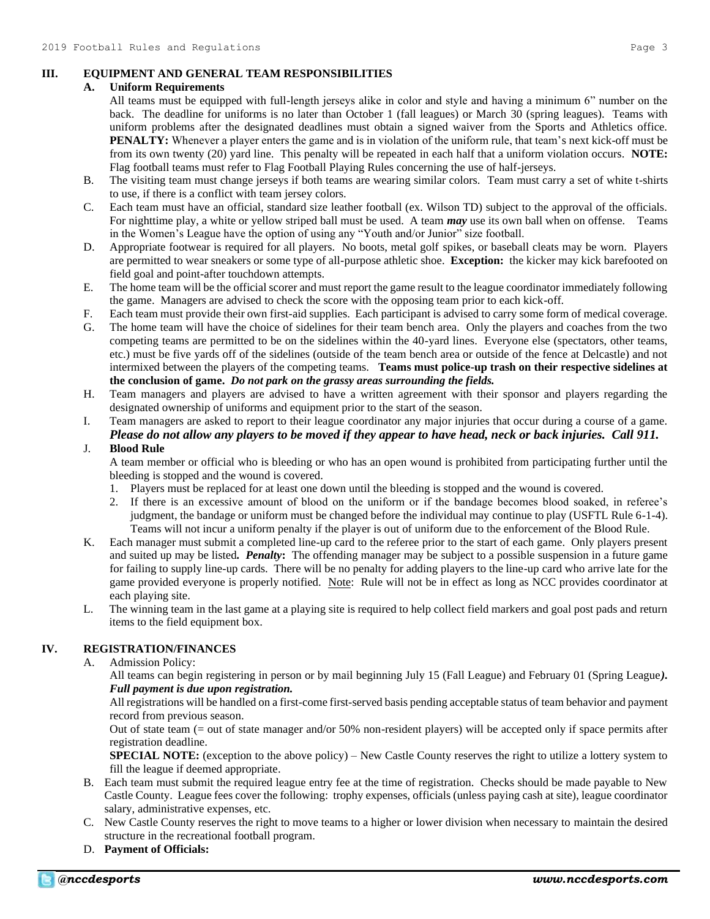# **III. EQUIPMENT AND GENERAL TEAM RESPONSIBILITIES**

# **A. Uniform Requirements**

- All teams must be equipped with full-length jerseys alike in color and style and having a minimum 6" number on the back. The deadline for uniforms is no later than October 1 (fall leagues) or March 30 (spring leagues). Teams with uniform problems after the designated deadlines must obtain a signed waiver from the Sports and Athletics office. **PENALTY:** Whenever a player enters the game and is in violation of the uniform rule, that team's next kick-off must be from its own twenty (20) yard line. This penalty will be repeated in each half that a uniform violation occurs. **NOTE:** Flag football teams must refer to Flag Football Playing Rules concerning the use of half-jerseys.
- B. The visiting team must change jerseys if both teams are wearing similar colors. Team must carry a set of white t-shirts to use, if there is a conflict with team jersey colors.
- C. Each team must have an official, standard size leather football (ex. Wilson TD) subject to the approval of the officials. For nighttime play, a white or yellow striped ball must be used. A team *may* use its own ball when on offense. Teams in the Women's League have the option of using any "Youth and/or Junior" size football.
- D. Appropriate footwear is required for all players. No boots, metal golf spikes, or baseball cleats may be worn. Players are permitted to wear sneakers or some type of all-purpose athletic shoe. **Exception:** the kicker may kick barefooted on field goal and point-after touchdown attempts.
- E. The home team will be the official scorer and must report the game result to the league coordinator immediately following the game. Managers are advised to check the score with the opposing team prior to each kick-off.
- F. Each team must provide their own first-aid supplies. Each participant is advised to carry some form of medical coverage.
- G. The home team will have the choice of sidelines for their team bench area. Only the players and coaches from the two competing teams are permitted to be on the sidelines within the 40-yard lines. Everyone else (spectators, other teams, etc.) must be five yards off of the sidelines (outside of the team bench area or outside of the fence at Delcastle) and not intermixed between the players of the competing teams. **Teams must police-up trash on their respective sidelines at the conclusion of game.** *Do not park on the grassy areas surrounding the fields.*
- H. Team managers and players are advised to have a written agreement with their sponsor and players regarding the designated ownership of uniforms and equipment prior to the start of the season.
- I. Team managers are asked to report to their league coordinator any major injuries that occur during a course of a game. *Please do not allow any players to be moved if they appear to have head, neck or back injuries. Call 911.*

# J. **Blood Rule**

A team member or official who is bleeding or who has an open wound is prohibited from participating further until the bleeding is stopped and the wound is covered.

- 1. Players must be replaced for at least one down until the bleeding is stopped and the wound is covered.
- 2. If there is an excessive amount of blood on the uniform or if the bandage becomes blood soaked, in referee's judgment, the bandage or uniform must be changed before the individual may continue to play (USFTL Rule 6-1-4). Teams will not incur a uniform penalty if the player is out of uniform due to the enforcement of the Blood Rule.
- K. Each manager must submit a completed line-up card to the referee prior to the start of each game. Only players present and suited up may be listed*. Penalty***:** The offending manager may be subject to a possible suspension in a future game for failing to supply line-up cards. There will be no penalty for adding players to the line-up card who arrive late for the game provided everyone is properly notified. Note: Rule will not be in effect as long as NCC provides coordinator at each playing site.
- L. The winning team in the last game at a playing site is required to help collect field markers and goal post pads and return items to the field equipment box.

# **IV. REGISTRATION/FINANCES**

A. Admission Policy:

All teams can begin registering in person or by mail beginning July 15 (Fall League) and February 01 (Spring League*). Full payment is due upon registration.*

All registrations will be handled on a first-come first-served basis pending acceptable status of team behavior and payment record from previous season.

Out of state team (= out of state manager and/or 50% non-resident players) will be accepted only if space permits after registration deadline.

**SPECIAL NOTE:** (exception to the above policy) – New Castle County reserves the right to utilize a lottery system to fill the league if deemed appropriate.

- B. Each team must submit the required league entry fee at the time of registration. Checks should be made payable to New Castle County. League fees cover the following: trophy expenses, officials (unless paying cash at site), league coordinator salary, administrative expenses, etc.
- C. New Castle County reserves the right to move teams to a higher or lower division when necessary to maintain the desired structure in the recreational football program.
- D. **Payment of Officials:**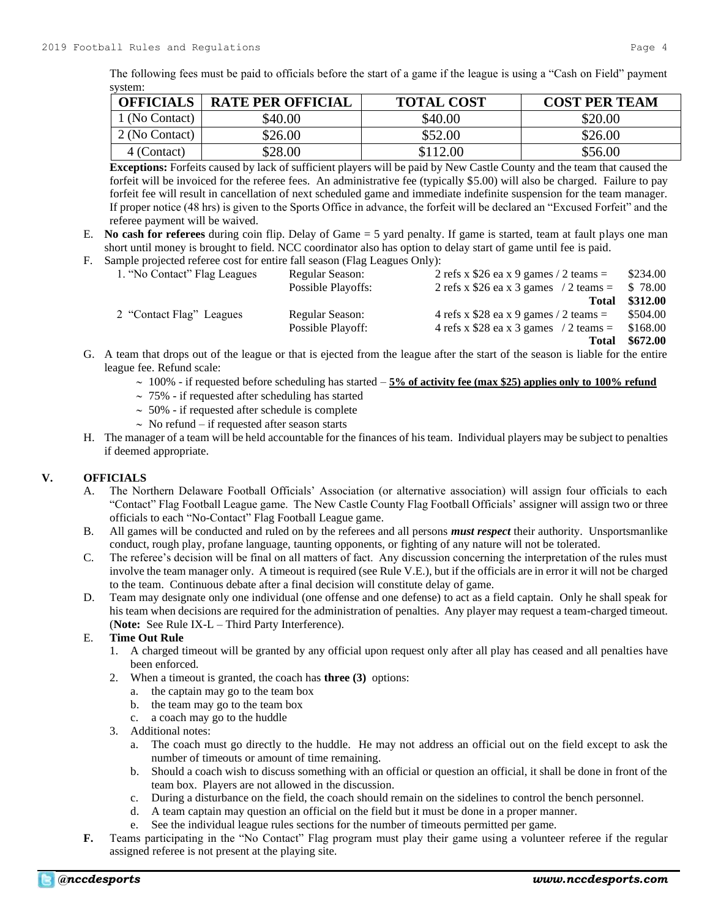The following fees must be paid to officials before the start of a game if the league is using a "Cash on Field" payment system:

| <b>OFFICIALS</b> | <b>RATE PER OFFICIAL</b> | <b>TOTAL COST</b> | <b>COST PER TEAM</b> |
|------------------|--------------------------|-------------------|----------------------|
| 1 (No Contact)   | \$40.00                  | \$40.00           | \$20.00              |
| 2 (No Contact)   | \$26.00                  | \$52.00           | \$26.00              |
| 4 (Contact)      | \$28.00                  | \$112.00          | \$56.00              |

**Exceptions:** Forfeits caused by lack of sufficient players will be paid by New Castle County and the team that caused the forfeit will be invoiced for the referee fees. An administrative fee (typically \$5.00) will also be charged. Failure to pay forfeit fee will result in cancellation of next scheduled game and immediate indefinite suspension for the team manager. If proper notice (48 hrs) is given to the Sports Office in advance, the forfeit will be declared an "Excused Forfeit" and the referee payment will be waived.

- E. **No cash for referees** during coin flip. Delay of Game = 5 yard penalty. If game is started, team at fault plays one man short until money is brought to field. NCC coordinator also has option to delay start of game until fee is paid.
- F. Sample projected referee cost for entire fall season (Flag Leagues Only):

| 1. "No Contact" Flag Leagues | Regular Season:    | 2 refs x \$26 ea x 9 games / 2 teams =  | \$234.00 |
|------------------------------|--------------------|-----------------------------------------|----------|
|                              | Possible Playoffs: | 2 refs x \$26 ea x 3 games $/2$ teams = | \$78.00  |
|                              |                    | Total                                   | \$312.00 |
| 2 "Contact Flag" Leagues     | Regular Season:    | 4 refs x $$28$ ea x 9 games / 2 teams = | \$504.00 |
|                              | Possible Playoff:  | 4 refs x \$28 ea x 3 games $/2$ teams = | \$168.00 |
|                              |                    | Total                                   | \$672.00 |

- G. A team that drops out of the league or that is ejected from the league after the start of the season is liable for the entire league fee. Refund scale:
	- $\sim 100\%$  if requested before scheduling has started  $-5\%$  of activity fee (max \$25) applies only to 100% refund
	- $\sim$  75% if requested after scheduling has started
	- $\sim$  50% if requested after schedule is complete
	- $\sim$  No refund if requested after season starts
- H. The manager of a team will be held accountable for the finances of his team. Individual players may be subject to penalties if deemed appropriate.

# **V. OFFICIALS**

- A. The Northern Delaware Football Officials' Association (or alternative association) will assign four officials to each "Contact" Flag Football League game. The New Castle County Flag Football Officials' assigner will assign two or three officials to each "No-Contact" Flag Football League game.
- B. All games will be conducted and ruled on by the referees and all persons *must respect* their authority. Unsportsmanlike conduct, rough play, profane language, taunting opponents, or fighting of any nature will not be tolerated.
- C. The referee's decision will be final on all matters of fact. Any discussion concerning the interpretation of the rules must involve the team manager only. A timeout is required (see Rule V.E.), but if the officials are in error it will not be charged to the team. Continuous debate after a final decision will constitute delay of game.
- D. Team may designate only one individual (one offense and one defense) to act as a field captain. Only he shall speak for his team when decisions are required for the administration of penalties. Any player may request a team-charged timeout. (**Note:** See Rule IX-L – Third Party Interference).

# E. **Time Out Rule**

- 1. A charged timeout will be granted by any official upon request only after all play has ceased and all penalties have been enforced.
- 2. When a timeout is granted, the coach has **three (3)** options:
	- a. the captain may go to the team box
	- b. the team may go to the team box
	- c. a coach may go to the huddle
- 3. Additional notes:
	- a. The coach must go directly to the huddle. He may not address an official out on the field except to ask the number of timeouts or amount of time remaining.
	- b. Should a coach wish to discuss something with an official or question an official, it shall be done in front of the team box. Players are not allowed in the discussion.
	- c. During a disturbance on the field, the coach should remain on the sidelines to control the bench personnel.
	- d. A team captain may question an official on the field but it must be done in a proper manner.
	- e. See the individual league rules sections for the number of timeouts permitted per game.
- **F.** Teams participating in the "No Contact" Flag program must play their game using a volunteer referee if the regular assigned referee is not present at the playing site.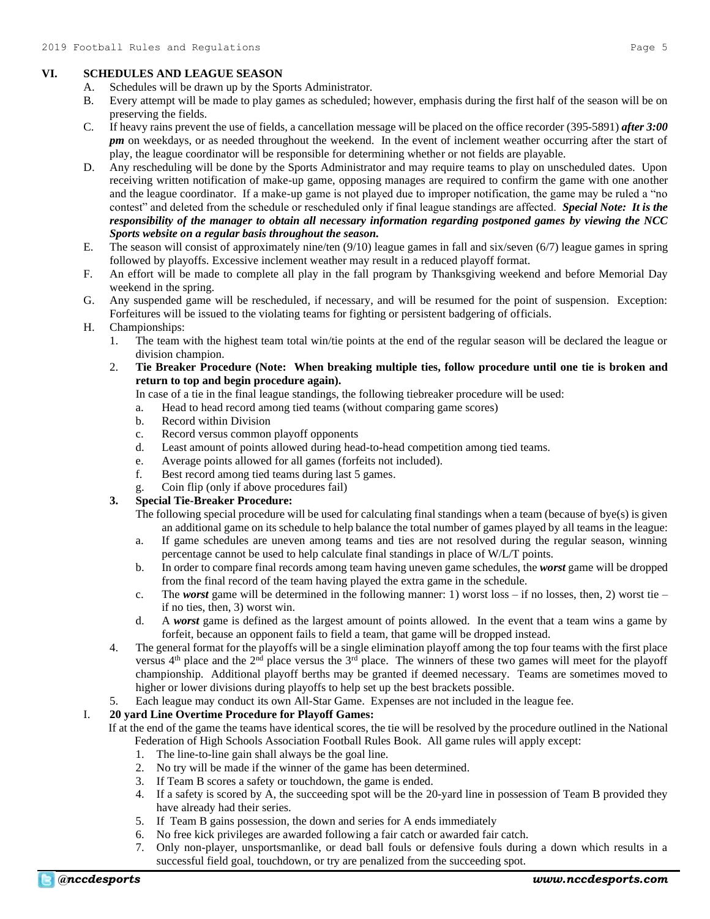# **VI. SCHEDULES AND LEAGUE SEASON**

- A. Schedules will be drawn up by the Sports Administrator.
- B. Every attempt will be made to play games as scheduled; however, emphasis during the first half of the season will be on preserving the fields.
- C. If heavy rains prevent the use of fields, a cancellation message will be placed on the office recorder (395-5891) *after 3:00 pm* on weekdays, or as needed throughout the weekend. In the event of inclement weather occurring after the start of play, the league coordinator will be responsible for determining whether or not fields are playable.
- D. Any rescheduling will be done by the Sports Administrator and may require teams to play on unscheduled dates. Upon receiving written notification of make-up game, opposing manages are required to confirm the game with one another and the league coordinator. If a make-up game is not played due to improper notification, the game may be ruled a "no contest" and deleted from the schedule or rescheduled only if final league standings are affected. *Special Note: It is the responsibility of the manager to obtain all necessary information regarding postponed games by viewing the NCC Sports website on a regular basis throughout the season.*
- E. The season will consist of approximately nine/ten (9/10) league games in fall and six/seven (6/7) league games in spring followed by playoffs. Excessive inclement weather may result in a reduced playoff format.
- F. An effort will be made to complete all play in the fall program by Thanksgiving weekend and before Memorial Day weekend in the spring.
- G. Any suspended game will be rescheduled, if necessary, and will be resumed for the point of suspension. Exception: Forfeitures will be issued to the violating teams for fighting or persistent badgering of officials.
- H. Championships:
	- 1. The team with the highest team total win/tie points at the end of the regular season will be declared the league or division champion.
	- 2. **Tie Breaker Procedure (Note: When breaking multiple ties, follow procedure until one tie is broken and return to top and begin procedure again).**

In case of a tie in the final league standings, the following tiebreaker procedure will be used:

- a. Head to head record among tied teams (without comparing game scores)
- b. Record within Division
- c. Record versus common playoff opponents
- d. Least amount of points allowed during head-to-head competition among tied teams.
- e. Average points allowed for all games (forfeits not included).
- f. Best record among tied teams during last 5 games.
- g. Coin flip (only if above procedures fail)

# **3. Special Tie-Breaker Procedure:**

- The following special procedure will be used for calculating final standings when a team (because of bye(s) is given an additional game on its schedule to help balance the total number of games played by all teams in the league:
- a. If game schedules are uneven among teams and ties are not resolved during the regular season, winning percentage cannot be used to help calculate final standings in place of W/L/T points.
- b. In order to compare final records among team having uneven game schedules, the *worst* game will be dropped from the final record of the team having played the extra game in the schedule.
- c. The *worst* game will be determined in the following manner: 1) worst loss if no losses, then, 2) worst tie if no ties, then, 3) worst win.
- d. A *worst* game is defined as the largest amount of points allowed. In the event that a team wins a game by forfeit, because an opponent fails to field a team, that game will be dropped instead.
- 4. The general format for the playoffs will be a single elimination playoff among the top four teams with the first place versus  $4<sup>th</sup>$  place and the  $2<sup>nd</sup>$  place versus the  $3<sup>rd</sup>$  place. The winners of these two games will meet for the playoff championship. Additional playoff berths may be granted if deemed necessary. Teams are sometimes moved to higher or lower divisions during playoffs to help set up the best brackets possible.
- 5. Each league may conduct its own All-Star Game. Expenses are not included in the league fee.

# I. **20 yard Line Overtime Procedure for Playoff Games:**

If at the end of the game the teams have identical scores, the tie will be resolved by the procedure outlined in the National Federation of High Schools Association Football Rules Book. All game rules will apply except:

- 1. The line-to-line gain shall always be the goal line.
- 2. No try will be made if the winner of the game has been determined.
- 3. If Team B scores a safety or touchdown, the game is ended.
- 4. If a safety is scored by A, the succeeding spot will be the 20-yard line in possession of Team B provided they have already had their series.
- 5. If Team B gains possession, the down and series for A ends immediately
- 6. No free kick privileges are awarded following a fair catch or awarded fair catch.
- 7. Only non-player, unsportsmanlike, or dead ball fouls or defensive fouls during a down which results in a successful field goal, touchdown, or try are penalized from the succeeding spot.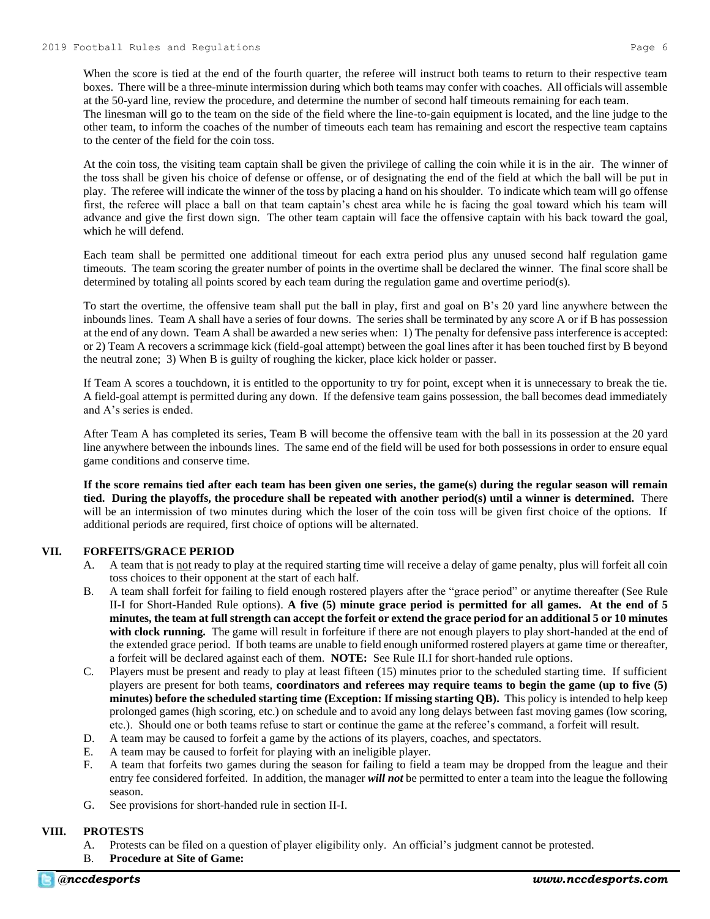When the score is tied at the end of the fourth quarter, the referee will instruct both teams to return to their respective team boxes. There will be a three-minute intermission during which both teams may confer with coaches. All officials will assemble at the 50-yard line, review the procedure, and determine the number of second half timeouts remaining for each team. The linesman will go to the team on the side of the field where the line-to-gain equipment is located, and the line judge to the other team, to inform the coaches of the number of timeouts each team has remaining and escort the respective team captains to the center of the field for the coin toss.

At the coin toss, the visiting team captain shall be given the privilege of calling the coin while it is in the air. The winner of the toss shall be given his choice of defense or offense, or of designating the end of the field at which the ball will be put in play. The referee will indicate the winner of the toss by placing a hand on his shoulder. To indicate which team will go offense first, the referee will place a ball on that team captain's chest area while he is facing the goal toward which his team will advance and give the first down sign. The other team captain will face the offensive captain with his back toward the goal, which he will defend.

Each team shall be permitted one additional timeout for each extra period plus any unused second half regulation game timeouts. The team scoring the greater number of points in the overtime shall be declared the winner. The final score shall be determined by totaling all points scored by each team during the regulation game and overtime period(s).

To start the overtime, the offensive team shall put the ball in play, first and goal on B's 20 yard line anywhere between the inbounds lines. Team A shall have a series of four downs. The series shall be terminated by any score A or if B has possession at the end of any down. Team A shall be awarded a new series when: 1) The penalty for defensive pass interference is accepted: or 2) Team A recovers a scrimmage kick (field-goal attempt) between the goal lines after it has been touched first by B beyond the neutral zone; 3) When B is guilty of roughing the kicker, place kick holder or passer.

If Team A scores a touchdown, it is entitled to the opportunity to try for point, except when it is unnecessary to break the tie. A field-goal attempt is permitted during any down. If the defensive team gains possession, the ball becomes dead immediately and A's series is ended.

After Team A has completed its series, Team B will become the offensive team with the ball in its possession at the 20 yard line anywhere between the inbounds lines. The same end of the field will be used for both possessions in order to ensure equal game conditions and conserve time.

**If the score remains tied after each team has been given one series, the game(s) during the regular season will remain tied. During the playoffs, the procedure shall be repeated with another period(s) until a winner is determined.** There will be an intermission of two minutes during which the loser of the coin toss will be given first choice of the options. If additional periods are required, first choice of options will be alternated.

#### **VII. FORFEITS/GRACE PERIOD**

- A. A team that is not ready to play at the required starting time will receive a delay of game penalty, plus will forfeit all coin toss choices to their opponent at the start of each half.
- B. A team shall forfeit for failing to field enough rostered players after the "grace period" or anytime thereafter (See Rule II-I for Short-Handed Rule options). **A five (5) minute grace period is permitted for all games. At the end of 5 minutes, the team at full strength can accept the forfeit or extend the grace period for an additional 5 or 10 minutes**  with clock running. The game will result in forfeiture if there are not enough players to play short-handed at the end of the extended grace period. If both teams are unable to field enough uniformed rostered players at game time or thereafter, a forfeit will be declared against each of them. **NOTE:** See Rule II.I for short-handed rule options.
- C. Players must be present and ready to play at least fifteen (15) minutes prior to the scheduled starting time. If sufficient players are present for both teams, **coordinators and referees may require teams to begin the game (up to five (5) minutes) before the scheduled starting time (Exception: If missing starting QB).** This policy is intended to help keep prolonged games (high scoring, etc.) on schedule and to avoid any long delays between fast moving games (low scoring, etc.). Should one or both teams refuse to start or continue the game at the referee's command, a forfeit will result.
- D. A team may be caused to forfeit a game by the actions of its players, coaches, and spectators.
- E. A team may be caused to forfeit for playing with an ineligible player.
- F. A team that forfeits two games during the season for failing to field a team may be dropped from the league and their entry fee considered forfeited. In addition, the manager *will not* be permitted to enter a team into the league the following season.
- G. See provisions for short-handed rule in section II-I.

#### **VIII. PROTESTS**

- A. Protests can be filed on a question of player eligibility only. An official's judgment cannot be protested.
- B. **Procedure at Site of Game:**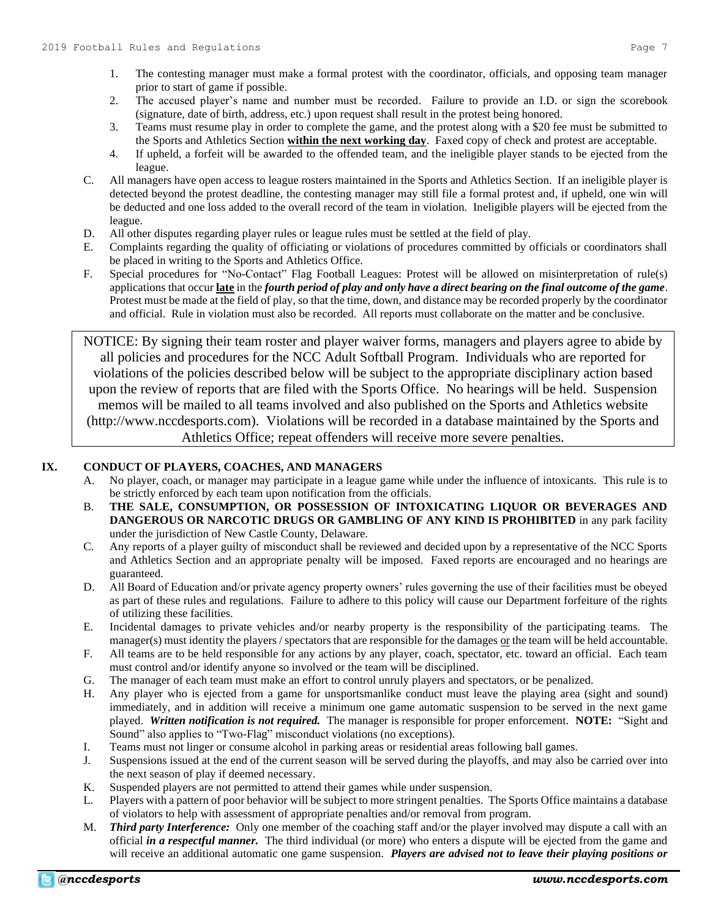- 1. The contesting manager must make a formal protest with the coordinator, officials, and opposing team manager prior to start of game if possible.
- 2. The accused player's name and number must be recorded. Failure to provide an I.D. or sign the scorebook (signature, date of birth, address, etc.) upon request shall result in the protest being honored.
- 3. Teams must resume play in order to complete the game, and the protest along with a \$20 fee must be submitted to the Sports and Athletics Section **within the next working day**. Faxed copy of check and protest are acceptable.
- 4. If upheld, a forfeit will be awarded to the offended team, and the ineligible player stands to be ejected from the league.
- C. All managers have open access to league rosters maintained in the Sports and Athletics Section. If an ineligible player is detected beyond the protest deadline, the contesting manager may still file a formal protest and, if upheld, one win will be deducted and one loss added to the overall record of the team in violation. Ineligible players will be ejected from the league.
- D. All other disputes regarding player rules or league rules must be settled at the field of play.
- E. Complaints regarding the quality of officiating or violations of procedures committed by officials or coordinators shall be placed in writing to the Sports and Athletics Office.
- F. Special procedures for "No-Contact" Flag Football Leagues: Protest will be allowed on misinterpretation of rule(s) applications that occur **late** in the *fourth period of play and only have a direct bearing on the final outcome of the game*. Protest must be made at the field of play, so that the time, down, and distance may be recorded properly by the coordinator and official. Rule in violation must also be recorded. All reports must collaborate on the matter and be conclusive.

NOTICE: By signing their team roster and player waiver forms, managers and players agree to abide by all policies and procedures for the NCC Adult Softball Program. Individuals who are reported for violations of the policies described below will be subject to the appropriate disciplinary action based upon the review of reports that are filed with the Sports Office. No hearings will be held. Suspension memos will be mailed to all teams involved and also published on the Sports and Athletics website (http://www.nccdesports.com). Violations will be recorded in a database maintained by the Sports and Athletics Office; repeat offenders will receive more severe penalties.

# **IX. CONDUCT OF PLAYERS, COACHES, AND MANAGERS**

- A. No player, coach, or manager may participate in a league game while under the influence of intoxicants. This rule is to be strictly enforced by each team upon notification from the officials.
- B. **THE SALE, CONSUMPTION, OR POSSESSION OF INTOXICATING LIQUOR OR BEVERAGES AND DANGEROUS OR NARCOTIC DRUGS OR GAMBLING OF ANY KIND IS PROHIBITED** in any park facility under the jurisdiction of New Castle County, Delaware.
- C. Any reports of a player guilty of misconduct shall be reviewed and decided upon by a representative of the NCC Sports and Athletics Section and an appropriate penalty will be imposed. Faxed reports are encouraged and no hearings are guaranteed.
- D. All Board of Education and/or private agency property owners' rules governing the use of their facilities must be obeyed as part of these rules and regulations. Failure to adhere to this policy will cause our Department forfeiture of the rights of utilizing these facilities.
- E. Incidental damages to private vehicles and/or nearby property is the responsibility of the participating teams. The manager(s) must identity the players / spectators that are responsible for the damages or the team will be held accountable.
- F. All teams are to be held responsible for any actions by any player, coach, spectator, etc. toward an official. Each team must control and/or identify anyone so involved or the team will be disciplined.
- G. The manager of each team must make an effort to control unruly players and spectators, or be penalized.
- H. Any player who is ejected from a game for unsportsmanlike conduct must leave the playing area (sight and sound) immediately, and in addition will receive a minimum one game automatic suspension to be served in the next game played. *Written notification is not required.* The manager is responsible for proper enforcement. **NOTE:** "Sight and Sound" also applies to "Two-Flag" misconduct violations (no exceptions).
- I. Teams must not linger or consume alcohol in parking areas or residential areas following ball games.
- J. Suspensions issued at the end of the current season will be served during the playoffs, and may also be carried over into the next season of play if deemed necessary.
- K. Suspended players are not permitted to attend their games while under suspension.
- L. Players with a pattern of poor behavior will be subject to more stringent penalties. The Sports Office maintains a database of violators to help with assessment of appropriate penalties and/or removal from program.
- M. *Third party Interference:* Only one member of the coaching staff and/or the player involved may dispute a call with an official *in a respectful manner.* The third individual (or more) who enters a dispute will be ejected from the game and will receive an additional automatic one game suspension. *Players are advised not to leave their playing positions or*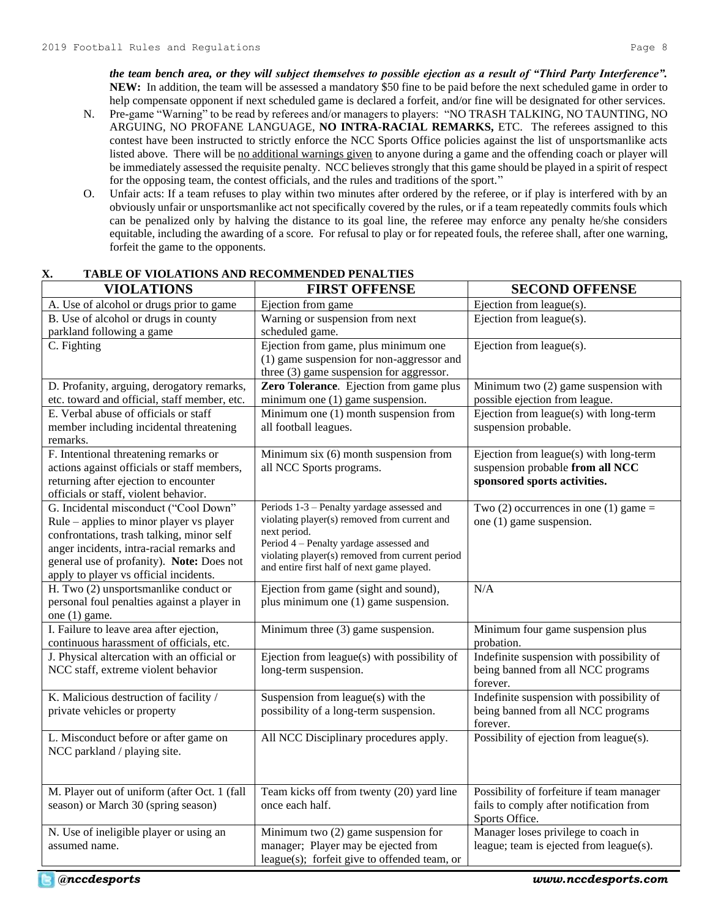*the team bench area, or they will subject themselves to possible ejection as a result of "Third Party Interference".*  **NEW:** In addition, the team will be assessed a mandatory \$50 fine to be paid before the next scheduled game in order to help compensate opponent if next scheduled game is declared a forfeit, and/or fine will be designated for other services.

- N. Pre-game "Warning" to be read by referees and/or managers to players: "NO TRASH TALKING, NO TAUNTING, NO ARGUING, NO PROFANE LANGUAGE, **NO INTRA-RACIAL REMARKS,** ETC. The referees assigned to this contest have been instructed to strictly enforce the NCC Sports Office policies against the list of unsportsmanlike acts listed above. There will be no additional warnings given to anyone during a game and the offending coach or player will be immediately assessed the requisite penalty. NCC believes strongly that this game should be played in a spirit of respect for the opposing team, the contest officials, and the rules and traditions of the sport."
- O. Unfair acts: If a team refuses to play within two minutes after ordered by the referee, or if play is interfered with by an obviously unfair or unsportsmanlike act not specifically covered by the rules, or if a team repeatedly commits fouls which can be penalized only by halving the distance to its goal line, the referee may enforce any penalty he/she considers equitable, including the awarding of a score. For refusal to play or for repeated fouls, the referee shall, after one warning, forfeit the game to the opponents.

| The DE VIOLINIONS INTO NECOMMENDED I ENTERIN<br><b>VIOLATIONS</b>                                                                                                                                                                                                  | <b>FIRST OFFENSE</b>                                                                                                                                                                                                                                   | <b>SECOND OFFENSE</b>                                                                                      |
|--------------------------------------------------------------------------------------------------------------------------------------------------------------------------------------------------------------------------------------------------------------------|--------------------------------------------------------------------------------------------------------------------------------------------------------------------------------------------------------------------------------------------------------|------------------------------------------------------------------------------------------------------------|
| A. Use of alcohol or drugs prior to game                                                                                                                                                                                                                           | Ejection from game                                                                                                                                                                                                                                     | Ejection from league(s).                                                                                   |
| B. Use of alcohol or drugs in county<br>parkland following a game                                                                                                                                                                                                  | Warning or suspension from next<br>scheduled game.                                                                                                                                                                                                     | Ejection from league $(s)$ .                                                                               |
| C. Fighting                                                                                                                                                                                                                                                        | Ejection from game, plus minimum one<br>(1) game suspension for non-aggressor and<br>three (3) game suspension for aggressor.                                                                                                                          | Ejection from league(s).                                                                                   |
| D. Profanity, arguing, derogatory remarks,<br>etc. toward and official, staff member, etc.                                                                                                                                                                         | Zero Tolerance. Ejection from game plus<br>minimum one $(1)$ game suspension.                                                                                                                                                                          | Minimum two (2) game suspension with<br>possible ejection from league.                                     |
| E. Verbal abuse of officials or staff<br>member including incidental threatening<br>remarks.                                                                                                                                                                       | Minimum one (1) month suspension from<br>all football leagues.                                                                                                                                                                                         | Ejection from league(s) with long-term<br>suspension probable.                                             |
| F. Intentional threatening remarks or<br>actions against officials or staff members,<br>returning after ejection to encounter<br>officials or staff, violent behavior.                                                                                             | Minimum six (6) month suspension from<br>all NCC Sports programs.                                                                                                                                                                                      | Ejection from league(s) with long-term<br>suspension probable from all NCC<br>sponsored sports activities. |
| G. Incidental misconduct ("Cool Down"<br>Rule – applies to minor player vs player<br>confrontations, trash talking, minor self<br>anger incidents, intra-racial remarks and<br>general use of profanity). Note: Does not<br>apply to player vs official incidents. | Periods 1-3 - Penalty yardage assessed and<br>violating player(s) removed from current and<br>next period.<br>Period 4 - Penalty yardage assessed and<br>violating player(s) removed from current period<br>and entire first half of next game played. | Two (2) occurrences in one (1) game $=$<br>one (1) game suspension.                                        |
| H. Two (2) unsportsmanlike conduct or<br>personal foul penalties against a player in<br>one (1) game.                                                                                                                                                              | Ejection from game (sight and sound),<br>plus minimum one (1) game suspension.                                                                                                                                                                         | N/A                                                                                                        |
| I. Failure to leave area after ejection,<br>continuous harassment of officials, etc.                                                                                                                                                                               | Minimum three (3) game suspension.                                                                                                                                                                                                                     | Minimum four game suspension plus<br>probation.                                                            |
| J. Physical altercation with an official or<br>NCC staff, extreme violent behavior                                                                                                                                                                                 | Ejection from league(s) with possibility of<br>long-term suspension.                                                                                                                                                                                   | Indefinite suspension with possibility of<br>being banned from all NCC programs<br>forever.                |
| K. Malicious destruction of facility /<br>private vehicles or property                                                                                                                                                                                             | Suspension from league(s) with the<br>possibility of a long-term suspension.                                                                                                                                                                           | Indefinite suspension with possibility of<br>being banned from all NCC programs<br>forever.                |
| L. Misconduct before or after game on<br>NCC parkland / playing site.                                                                                                                                                                                              | All NCC Disciplinary procedures apply.                                                                                                                                                                                                                 | Possibility of ejection from league(s).                                                                    |
| M. Player out of uniform (after Oct. 1 (fall<br>season) or March 30 (spring season)                                                                                                                                                                                | Team kicks off from twenty (20) yard line<br>once each half.                                                                                                                                                                                           | Possibility of forfeiture if team manager<br>fails to comply after notification from<br>Sports Office.     |
| N. Use of ineligible player or using an<br>assumed name.                                                                                                                                                                                                           | Minimum two (2) game suspension for<br>manager; Player may be ejected from<br>league(s); forfeit give to offended team, or                                                                                                                             | Manager loses privilege to coach in<br>league; team is ejected from league(s).                             |

# **X. TABLE OF VIOLATIONS AND RECOMMENDED PENALTIES**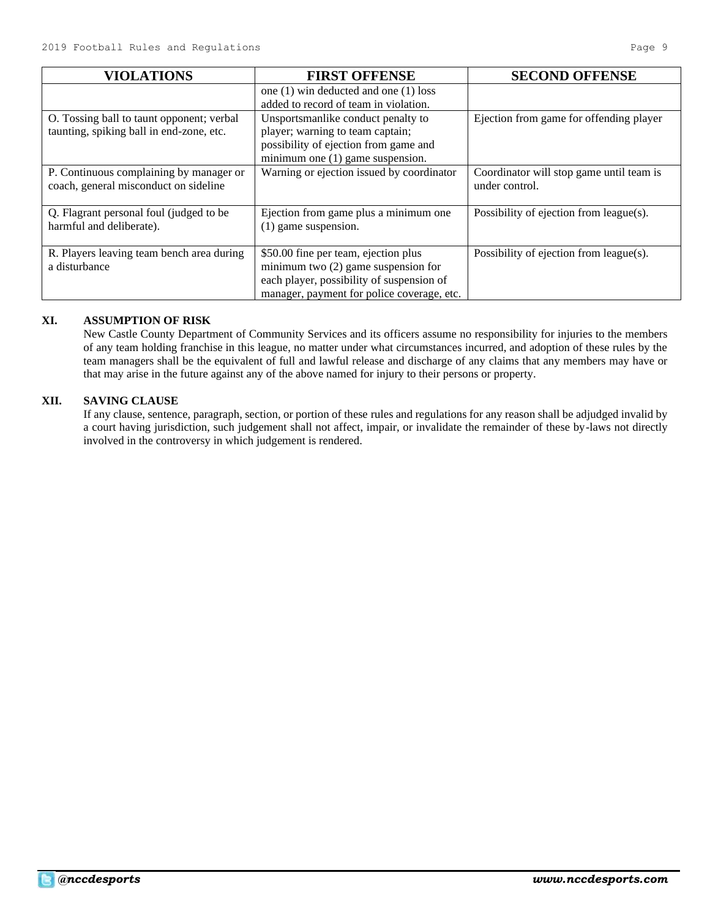| <b>VIOLATIONS</b>                                                                     | <b>FIRST OFFENSE</b>                                                                                                                                                     | <b>SECOND OFFENSE</b>                                      |
|---------------------------------------------------------------------------------------|--------------------------------------------------------------------------------------------------------------------------------------------------------------------------|------------------------------------------------------------|
|                                                                                       | one (1) win deducted and one (1) loss<br>added to record of team in violation.                                                                                           |                                                            |
| O. Tossing ball to taunt opponent; verbal<br>taunting, spiking ball in end-zone, etc. | Unsportsmanlike conduct penalty to<br>player; warning to team captain;<br>possibility of ejection from game and<br>minimum one (1) game suspension.                      | Ejection from game for offending player                    |
| P. Continuous complaining by manager or<br>coach, general misconduct on sideline      | Warning or ejection issued by coordinator                                                                                                                                | Coordinator will stop game until team is<br>under control. |
| Q. Flagrant personal foul (judged to be<br>harmful and deliberate).                   | Ejection from game plus a minimum one<br>(1) game suspension.                                                                                                            | Possibility of ejection from league(s).                    |
| R. Players leaving team bench area during<br>a disturbance                            | \$50.00 fine per team, ejection plus<br>minimum two $(2)$ game suspension for<br>each player, possibility of suspension of<br>manager, payment for police coverage, etc. | Possibility of ejection from league(s).                    |

# **XI. ASSUMPTION OF RISK**

New Castle County Department of Community Services and its officers assume no responsibility for injuries to the members of any team holding franchise in this league, no matter under what circumstances incurred, and adoption of these rules by the team managers shall be the equivalent of full and lawful release and discharge of any claims that any members may have or that may arise in the future against any of the above named for injury to their persons or property.

# **XII. SAVING CLAUSE**

If any clause, sentence, paragraph, section, or portion of these rules and regulations for any reason shall be adjudged invalid by a court having jurisdiction, such judgement shall not affect, impair, or invalidate the remainder of these by-laws not directly involved in the controversy in which judgement is rendered.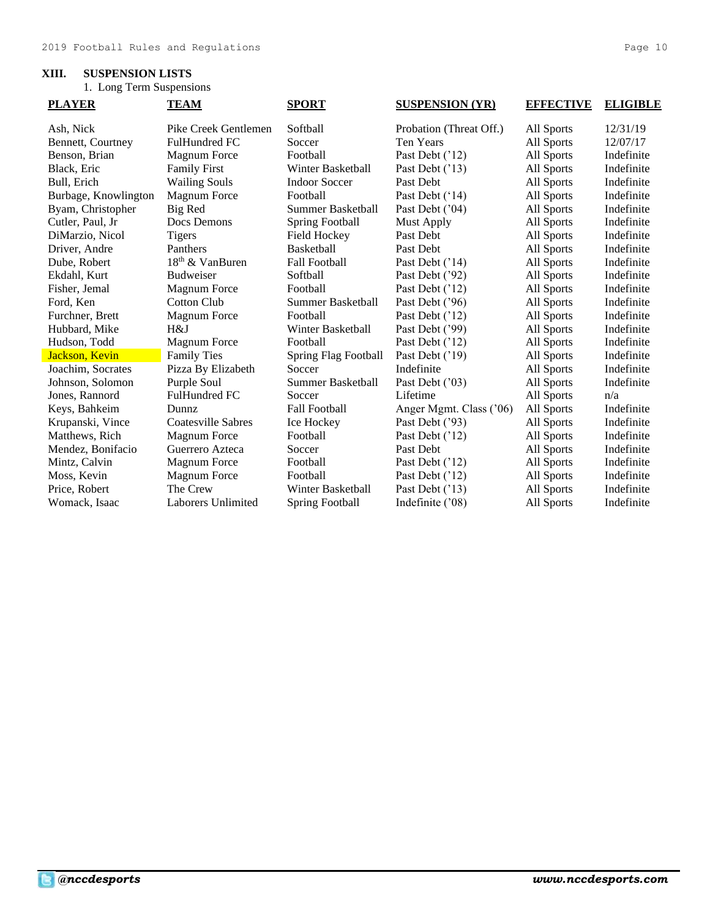# **XIII. SUSPENSION LISTS**

1. Long Term Suspensions

| <b>PLAYER</b>        | <b>TEAM</b>                 | <b>SPORT</b>             | <b>SUSPENSION (YR)</b>  | <b>EFFECTIVE</b> | <b>ELIGIBLE</b> |
|----------------------|-----------------------------|--------------------------|-------------------------|------------------|-----------------|
| Ash, Nick            | Pike Creek Gentlemen        | Softball                 | Probation (Threat Off.) | All Sports       | 12/31/19        |
| Bennett, Courtney    | <b>FulHundred FC</b>        | Soccer                   | Ten Years               | All Sports       | 12/07/17        |
| Benson, Brian        | <b>Magnum Force</b>         | Football                 | Past Debt ('12)         | All Sports       | Indefinite      |
| Black, Eric          | <b>Family First</b>         | Winter Basketball        | Past Debt ('13)         | All Sports       | Indefinite      |
| Bull, Erich          | <b>Wailing Souls</b>        | <b>Indoor Soccer</b>     | Past Debt               | All Sports       | Indefinite      |
| Burbage, Knowlington | <b>Magnum Force</b>         | Football                 | Past Debt ('14)         | All Sports       | Indefinite      |
| Byam, Christopher    | Big Red                     | Summer Basketball        | Past Debt ('04)         | All Sports       | Indefinite      |
| Cutler, Paul, Jr     | Docs Demons                 | <b>Spring Football</b>   | Must Apply              | All Sports       | Indefinite      |
| DiMarzio, Nicol      | <b>Tigers</b>               | Field Hockey             | Past Debt               | All Sports       | Indefinite      |
| Driver, Andre        | Panthers                    | Basketball               | Past Debt               | All Sports       | Indefinite      |
| Dube, Robert         | 18 <sup>th</sup> & VanBuren | <b>Fall Football</b>     | Past Debt ('14)         | All Sports       | Indefinite      |
| Ekdahl, Kurt         | <b>Budweiser</b>            | Softball                 | Past Debt ('92)         | All Sports       | Indefinite      |
| Fisher, Jemal        | <b>Magnum Force</b>         | Football                 | Past Debt ('12)         | All Sports       | Indefinite      |
| Ford, Ken            | Cotton Club                 | Summer Basketball        | Past Debt ('96)         | All Sports       | Indefinite      |
| Furchner, Brett      | <b>Magnum Force</b>         | Football                 | Past Debt ('12)         | All Sports       | Indefinite      |
| Hubbard, Mike        | H&J                         | Winter Basketball        | Past Debt ('99)         | All Sports       | Indefinite      |
| Hudson, Todd         | <b>Magnum Force</b>         | Football                 | Past Debt ('12)         | All Sports       | Indefinite      |
| Jackson, Kevin       | <b>Family Ties</b>          | Spring Flag Football     | Past Debt ('19)         | All Sports       | Indefinite      |
| Joachim, Socrates    | Pizza By Elizabeth          | Soccer                   | Indefinite              | All Sports       | Indefinite      |
| Johnson, Solomon     | Purple Soul                 | <b>Summer Basketball</b> | Past Debt ('03)         | All Sports       | Indefinite      |
| Jones, Rannord       | <b>FulHundred FC</b>        | Soccer                   | Lifetime                | All Sports       | n/a             |
| Keys, Bahkeim        | <b>Dunnz</b>                | <b>Fall Football</b>     | Anger Mgmt. Class ('06) | All Sports       | Indefinite      |
| Krupanski, Vince     | Coatesville Sabres          | Ice Hockey               | Past Debt ('93)         | All Sports       | Indefinite      |
| Matthews, Rich       | <b>Magnum Force</b>         | Football                 | Past Debt ('12)         | All Sports       | Indefinite      |
| Mendez, Bonifacio    | Guerrero Azteca             | Soccer                   | Past Debt               | All Sports       | Indefinite      |
| Mintz, Calvin        | <b>Magnum Force</b>         | Football                 | Past Debt ('12)         | All Sports       | Indefinite      |
| Moss, Kevin          | <b>Magnum Force</b>         | Football                 | Past Debt ('12)         | All Sports       | Indefinite      |
| Price, Robert        | The Crew                    | Winter Basketball        | Past Debt ('13)         | All Sports       | Indefinite      |
| Womack, Isaac        | Laborers Unlimited          | <b>Spring Football</b>   | Indefinite ('08)        | All Sports       | Indefinite      |
|                      |                             |                          |                         |                  |                 |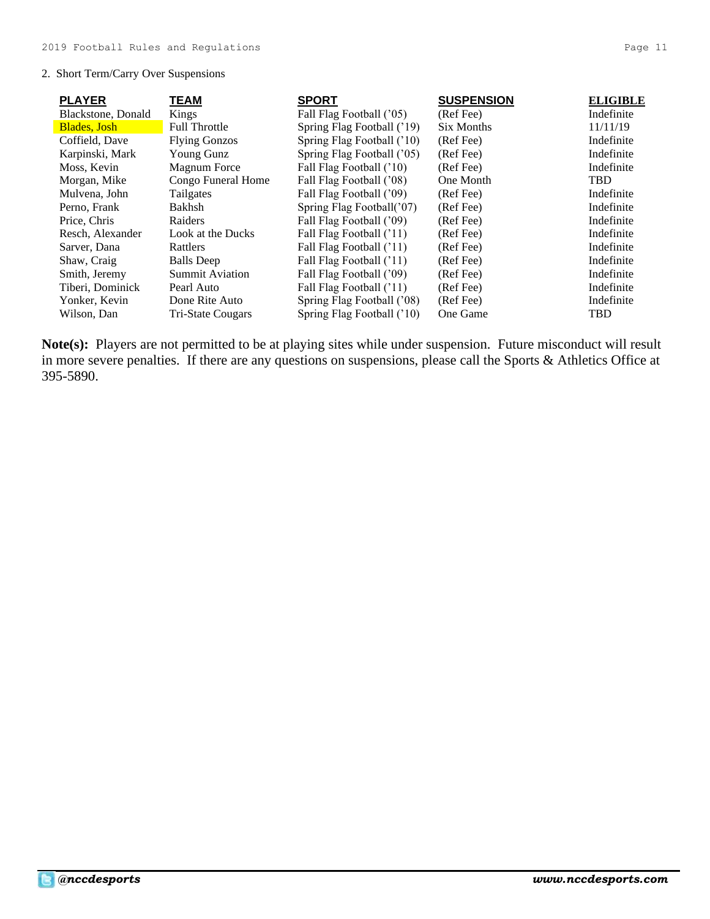# 2. Short Term/Carry Over Suspensions

| <b>PLAYER</b>               | TEAM                     | <b>SPORT</b>               | <b>SUSPENSION</b> | <b>ELIGIBLE</b> |
|-----------------------------|--------------------------|----------------------------|-------------------|-----------------|
| Blackstone, Donald          | Kings                    | Fall Flag Football ('05)   | (Ref Fee)         | Indefinite      |
| <b>Blades</b> , <b>Josh</b> | <b>Full Throttle</b>     | Spring Flag Football ('19) | Six Months        | 11/11/19        |
| Coffield, Dave              | <b>Flying Gonzos</b>     | Spring Flag Football ('10) | (Ref Fee)         | Indefinite      |
| Karpinski, Mark             | Young Gunz               | Spring Flag Football ('05) | (Ref Fee)         | Indefinite      |
| Moss, Kevin                 | Magnum Force             | Fall Flag Football ('10)   | (Ref Fee)         | Indefinite      |
| Morgan, Mike                | Congo Funeral Home       | Fall Flag Football ('08)   | One Month         | <b>TBD</b>      |
| Mulvena, John               | Tailgates                | Fall Flag Football ('09)   | (Ref Fee)         | Indefinite      |
| Perno, Frank                | <b>Bakhsh</b>            | Spring Flag Football('07)  | (Ref Fee)         | Indefinite      |
| Price, Chris                | Raiders                  | Fall Flag Football ('09)   | (Ref Fee)         | Indefinite      |
| Resch, Alexander            | Look at the Ducks        | Fall Flag Football ('11)   | (Ref Fee)         | Indefinite      |
| Sarver, Dana                | Rattlers                 | Fall Flag Football ('11)   | (Ref Fee)         | Indefinite      |
| Shaw, Craig                 | <b>Balls</b> Deep        | Fall Flag Football ('11)   | (Ref Fee)         | Indefinite      |
| Smith, Jeremy               | <b>Summit Aviation</b>   | Fall Flag Football ('09)   | (Ref Fee)         | Indefinite      |
| Tiberi, Dominick            | Pearl Auto               | Fall Flag Football ('11)   | (Ref Fee)         | Indefinite      |
| Yonker, Kevin               | Done Rite Auto           | Spring Flag Football ('08) | (Ref Fee)         | Indefinite      |
| Wilson, Dan                 | <b>Tri-State Cougars</b> | Spring Flag Football ('10) | One Game          | <b>TBD</b>      |

**Note(s):** Players are not permitted to be at playing sites while under suspension. Future misconduct will result in more severe penalties. If there are any questions on suspensions, please call the Sports & Athletics Office at 395-5890.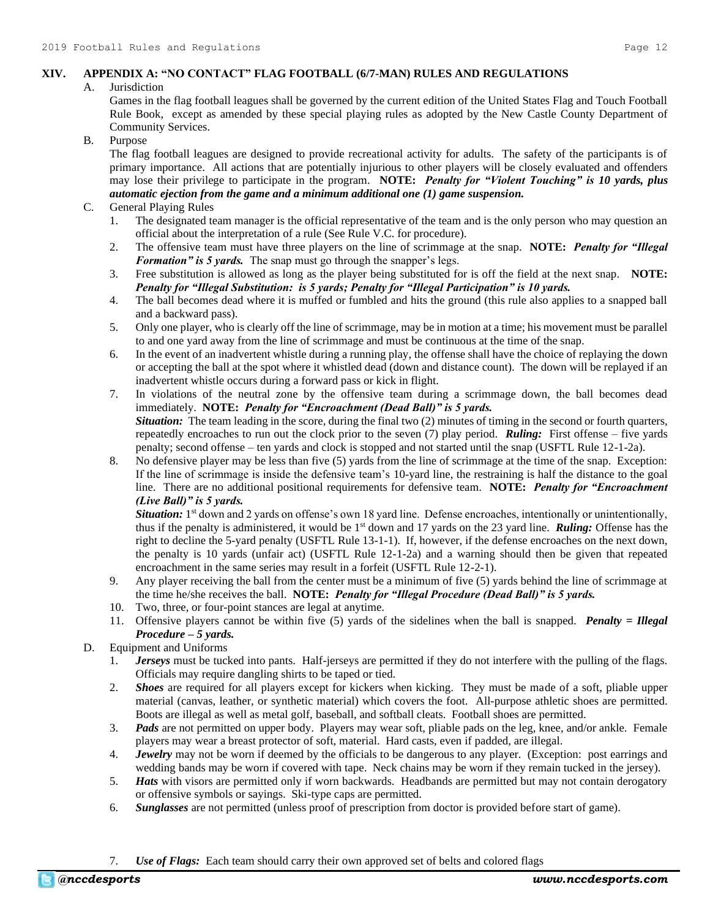# **XIV. APPENDIX A: "NO CONTACT" FLAG FOOTBALL (6/7-MAN) RULES AND REGULATIONS**

### A. Jurisdiction

Games in the flag football leagues shall be governed by the current edition of the United States Flag and Touch Football Rule Book, except as amended by these special playing rules as adopted by the New Castle County Department of Community Services.

# B. Purpose

The flag football leagues are designed to provide recreational activity for adults. The safety of the participants is of primary importance. All actions that are potentially injurious to other players will be closely evaluated and offenders may lose their privilege to participate in the program. **NOTE:** *Penalty for "Violent Touching" is 10 yards, plus automatic ejection from the game and a minimum additional one (1) game suspension.*

# C. General Playing Rules

- 1. The designated team manager is the official representative of the team and is the only person who may question an official about the interpretation of a rule (See Rule V.C. for procedure).
- 2. The offensive team must have three players on the line of scrimmage at the snap. **NOTE:** *Penalty for "Illegal Formation" is 5 yards.* The snap must go through the snapper's legs.
- 3. Free substitution is allowed as long as the player being substituted for is off the field at the next snap. **NOTE:** *Penalty for "Illegal Substitution: is 5 yards; Penalty for "Illegal Participation" is 10 yards.*
- 4. The ball becomes dead where it is muffed or fumbled and hits the ground (this rule also applies to a snapped ball and a backward pass).
- 5. Only one player, who is clearly off the line of scrimmage, may be in motion at a time; his movement must be parallel to and one yard away from the line of scrimmage and must be continuous at the time of the snap.
- 6. In the event of an inadvertent whistle during a running play, the offense shall have the choice of replaying the down or accepting the ball at the spot where it whistled dead (down and distance count). The down will be replayed if an inadvertent whistle occurs during a forward pass or kick in flight.
- 7. In violations of the neutral zone by the offensive team during a scrimmage down, the ball becomes dead immediately. **NOTE:** *Penalty for "Encroachment (Dead Ball)" is 5 yards. Situation:* The team leading in the score, during the final two (2) minutes of timing in the second or fourth quarters, repeatedly encroaches to run out the clock prior to the seven (7) play period. *Ruling:* First offense – five yards penalty; second offense – ten yards and clock is stopped and not started until the snap (USFTL Rule 12-1-2a).
- 8. No defensive player may be less than five (5) yards from the line of scrimmage at the time of the snap. Exception: If the line of scrimmage is inside the defensive team's 10-yard line, the restraining is half the distance to the goal line. There are no additional positional requirements for defensive team. **NOTE:** *Penalty for "Encroachment (Live Ball)" is 5 yards.*

Situation: 1<sup>st</sup> down and 2 yards on offense's own 18 yard line. Defense encroaches, intentionally or unintentionally, thus if the penalty is administered, it would be 1st down and 17 yards on the 23 yard line. *Ruling:* Offense has the right to decline the 5-yard penalty (USFTL Rule 13-1-1). If, however, if the defense encroaches on the next down, the penalty is 10 yards (unfair act) (USFTL Rule 12-1-2a) and a warning should then be given that repeated encroachment in the same series may result in a forfeit (USFTL Rule 12-2-1).

- 9. Any player receiving the ball from the center must be a minimum of five (5) yards behind the line of scrimmage at the time he/she receives the ball. **NOTE:** *Penalty for "Illegal Procedure (Dead Ball)" is 5 yards.*
- 10. Two, three, or four-point stances are legal at anytime.
- 11. Offensive players cannot be within five (5) yards of the sidelines when the ball is snapped. *Penalty = Illegal Procedure – 5 yards.*

# D. Equipment and Uniforms

- 1. *Jerseys* must be tucked into pants. Half-jerseys are permitted if they do not interfere with the pulling of the flags. Officials may require dangling shirts to be taped or tied.
- 2. *Shoes* are required for all players except for kickers when kicking. They must be made of a soft, pliable upper material (canvas, leather, or synthetic material) which covers the foot. All-purpose athletic shoes are permitted. Boots are illegal as well as metal golf, baseball, and softball cleats. Football shoes are permitted.
- 3. *Pads* are not permitted on upper body. Players may wear soft, pliable pads on the leg, knee, and/or ankle. Female players may wear a breast protector of soft, material. Hard casts, even if padded, are illegal.
- 4. *Jewelry* may not be worn if deemed by the officials to be dangerous to any player. (Exception: post earrings and wedding bands may be worn if covered with tape. Neck chains may be worn if they remain tucked in the jersey).
- 5. *Hats* with visors are permitted only if worn backwards. Headbands are permitted but may not contain derogatory or offensive symbols or sayings. Ski-type caps are permitted.
- 6. *Sunglasses* are not permitted (unless proof of prescription from doctor is provided before start of game).

# 7. *Use of Flags:* Each team should carry their own approved set of belts and colored flags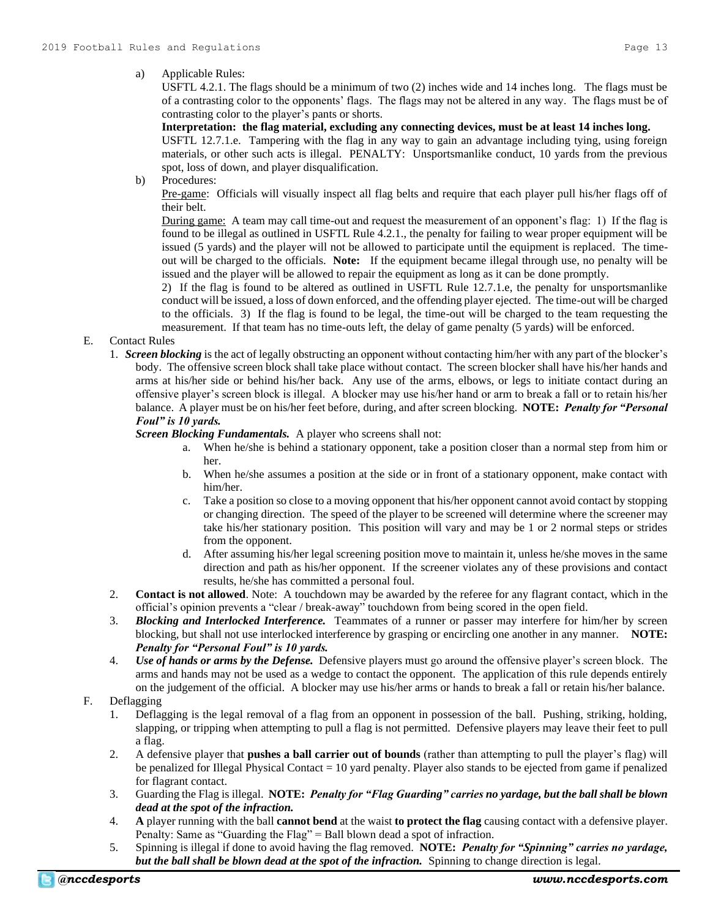USFTL 4.2.1. The flags should be a minimum of two (2) inches wide and 14 inches long. The flags must be of a contrasting color to the opponents' flags. The flags may not be altered in any way. The flags must be of contrasting color to the player's pants or shorts.

# **Interpretation: the flag material, excluding any connecting devices, must be at least 14 inches long.**

USFTL 12.7.1.e. Tampering with the flag in any way to gain an advantage including tying, using foreign materials, or other such acts is illegal. PENALTY: Unsportsmanlike conduct, 10 yards from the previous spot, loss of down, and player disqualification.

b) Procedures:

Pre-game: Officials will visually inspect all flag belts and require that each player pull his/her flags off of their belt.

During game: A team may call time-out and request the measurement of an opponent's flag: 1) If the flag is found to be illegal as outlined in USFTL Rule 4.2.1., the penalty for failing to wear proper equipment will be issued (5 yards) and the player will not be allowed to participate until the equipment is replaced. The timeout will be charged to the officials. **Note:** If the equipment became illegal through use, no penalty will be issued and the player will be allowed to repair the equipment as long as it can be done promptly.

2) If the flag is found to be altered as outlined in USFTL Rule 12.7.1.e, the penalty for unsportsmanlike conduct will be issued, a loss of down enforced, and the offending player ejected. The time-out will be charged to the officials. 3) If the flag is found to be legal, the time-out will be charged to the team requesting the measurement. If that team has no time-outs left, the delay of game penalty (5 yards) will be enforced.

- E. Contact Rules
	- 1. *Screen blocking* is the act of legally obstructing an opponent without contacting him/her with any part of the blocker's body. The offensive screen block shall take place without contact. The screen blocker shall have his/her hands and arms at his/her side or behind his/her back. Any use of the arms, elbows, or legs to initiate contact during an offensive player's screen block is illegal. A blocker may use his/her hand or arm to break a fall or to retain his/her balance. A player must be on his/her feet before, during, and after screen blocking. **NOTE:** *Penalty for "Personal Foul" is 10 yards.*

*Screen Blocking Fundamentals.* A player who screens shall not:

- a. When he/she is behind a stationary opponent, take a position closer than a normal step from him or her.
- b. When he/she assumes a position at the side or in front of a stationary opponent, make contact with him/her.
- c. Take a position so close to a moving opponent that his/her opponent cannot avoid contact by stopping or changing direction. The speed of the player to be screened will determine where the screener may take his/her stationary position. This position will vary and may be 1 or 2 normal steps or strides from the opponent.
- d. After assuming his/her legal screening position move to maintain it, unless he/she moves in the same direction and path as his/her opponent. If the screener violates any of these provisions and contact results, he/she has committed a personal foul.
- 2. **Contact is not allowed**. Note: A touchdown may be awarded by the referee for any flagrant contact, which in the official's opinion prevents a "clear / break-away" touchdown from being scored in the open field.
- 3. *Blocking and Interlocked Interference.* Teammates of a runner or passer may interfere for him/her by screen blocking, but shall not use interlocked interference by grasping or encircling one another in any manner. **NOTE:**  *Penalty for "Personal Foul" is 10 yards.*
- 4. *Use of hands or arms by the Defense.* Defensive players must go around the offensive player's screen block. The arms and hands may not be used as a wedge to contact the opponent. The application of this rule depends entirely on the judgement of the official. A blocker may use his/her arms or hands to break a fall or retain his/her balance.

# F. Deflagging

- 1. Deflagging is the legal removal of a flag from an opponent in possession of the ball. Pushing, striking, holding, slapping, or tripping when attempting to pull a flag is not permitted. Defensive players may leave their feet to pull a flag.
- 2. A defensive player that **pushes a ball carrier out of bounds** (rather than attempting to pull the player's flag) will be penalized for Illegal Physical Contact = 10 yard penalty. Player also stands to be ejected from game if penalized for flagrant contact.
- 3. Guarding the Flag is illegal. **NOTE:** *Penalty for "Flag Guarding" carries no yardage, but the ball shall be blown dead at the spot of the infraction.*
- 4. **A** player running with the ball **cannot bend** at the waist **to protect the flag** causing contact with a defensive player. Penalty: Same as "Guarding the Flag" = Ball blown dead a spot of infraction.
- 5. Spinning is illegal if done to avoid having the flag removed. **NOTE:** *Penalty for "Spinning" carries no yardage, but the ball shall be blown dead at the spot of the infraction.* Spinning to change direction is legal.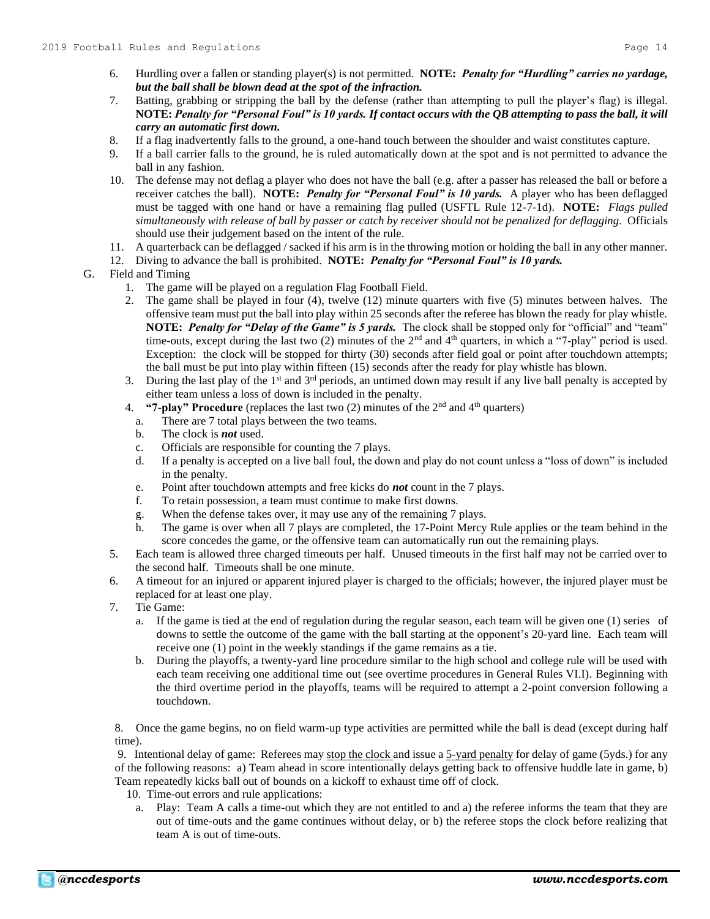- 6. Hurdling over a fallen or standing player(s) is not permitted. **NOTE:** *Penalty for "Hurdling" carries no yardage, but the ball shall be blown dead at the spot of the infraction.*
- 7. Batting, grabbing or stripping the ball by the defense (rather than attempting to pull the player's flag) is illegal. **NOTE:** *Penalty for "Personal Foul" is 10 yards. If contact occurs with the QB attempting to pass the ball, it will carry an automatic first down.*
- 8. If a flag inadvertently falls to the ground, a one-hand touch between the shoulder and waist constitutes capture.
- 9. If a ball carrier falls to the ground, he is ruled automatically down at the spot and is not permitted to advance the ball in any fashion.
- 10. The defense may not deflag a player who does not have the ball (e.g. after a passer has released the ball or before a receiver catches the ball). **NOTE:** *Penalty for "Personal Foul" is 10 yards.* A player who has been deflagged must be tagged with one hand or have a remaining flag pulled (USFTL Rule 12-7-1d). **NOTE:** *Flags pulled simultaneously with release of ball by passer or catch by receiver should not be penalized for deflagging.*Officials should use their judgement based on the intent of the rule.
- 11. A quarterback can be deflagged / sacked if his arm is in the throwing motion or holding the ball in any other manner.
- 12. Diving to advance the ball is prohibited. **NOTE:** *Penalty for "Personal Foul" is 10 yards.*
- G. Field and Timing
	- 1. The game will be played on a regulation Flag Football Field.
	- 2. The game shall be played in four (4), twelve (12) minute quarters with five (5) minutes between halves. The offensive team must put the ball into play within 25 seconds after the referee has blown the ready for play whistle. **NOTE:** *Penalty for "Delay of the Game" is 5 yards.* The clock shall be stopped only for "official" and "team" time-outs, except during the last two (2) minutes of the  $2<sup>nd</sup>$  and  $4<sup>th</sup>$  quarters, in which a "7-play" period is used. Exception: the clock will be stopped for thirty (30) seconds after field goal or point after touchdown attempts; the ball must be put into play within fifteen (15) seconds after the ready for play whistle has blown.
	- 3. During the last play of the 1<sup>st</sup> and  $3<sup>rd</sup>$  periods, an untimed down may result if any live ball penalty is accepted by either team unless a loss of down is included in the penalty.
	- 4. **"7-play" Procedure** (replaces the last two (2) minutes of the 2<sup>nd</sup> and 4<sup>th</sup> quarters)
		- a. There are 7 total plays between the two teams.
		- b. The clock is *not* used.
		- c. Officials are responsible for counting the 7 plays.
		- d. If a penalty is accepted on a live ball foul, the down and play do not count unless a "loss of down" is included in the penalty.
		- e. Point after touchdown attempts and free kicks do *not* count in the 7 plays.
		- f. To retain possession, a team must continue to make first downs.
		- g. When the defense takes over, it may use any of the remaining 7 plays.
		- h. The game is over when all 7 plays are completed, the 17-Point Mercy Rule applies or the team behind in the score concedes the game, or the offensive team can automatically run out the remaining plays.
	- 5. Each team is allowed three charged timeouts per half. Unused timeouts in the first half may not be carried over to the second half. Timeouts shall be one minute.
	- 6. A timeout for an injured or apparent injured player is charged to the officials; however, the injured player must be replaced for at least one play.
	- 7. Tie Game:
		- a. If the game is tied at the end of regulation during the regular season, each team will be given one (1) series of downs to settle the outcome of the game with the ball starting at the opponent's 20-yard line. Each team will receive one (1) point in the weekly standings if the game remains as a tie.
		- b. During the playoffs, a twenty-yard line procedure similar to the high school and college rule will be used with each team receiving one additional time out (see overtime procedures in General Rules VI.I). Beginning with the third overtime period in the playoffs, teams will be required to attempt a 2-point conversion following a touchdown.

8. Once the game begins, no on field warm-up type activities are permitted while the ball is dead (except during half time).

9. Intentional delay of game: Referees may stop the clock and issue a 5-yard penalty for delay of game (5yds.) for any of the following reasons: a) Team ahead in score intentionally delays getting back to offensive huddle late in game, b) Team repeatedly kicks ball out of bounds on a kickoff to exhaust time off of clock.

- 10. Time-out errors and rule applications:
- a. Play: Team A calls a time-out which they are not entitled to and a) the referee informs the team that they are out of time-outs and the game continues without delay, or b) the referee stops the clock before realizing that team A is out of time-outs.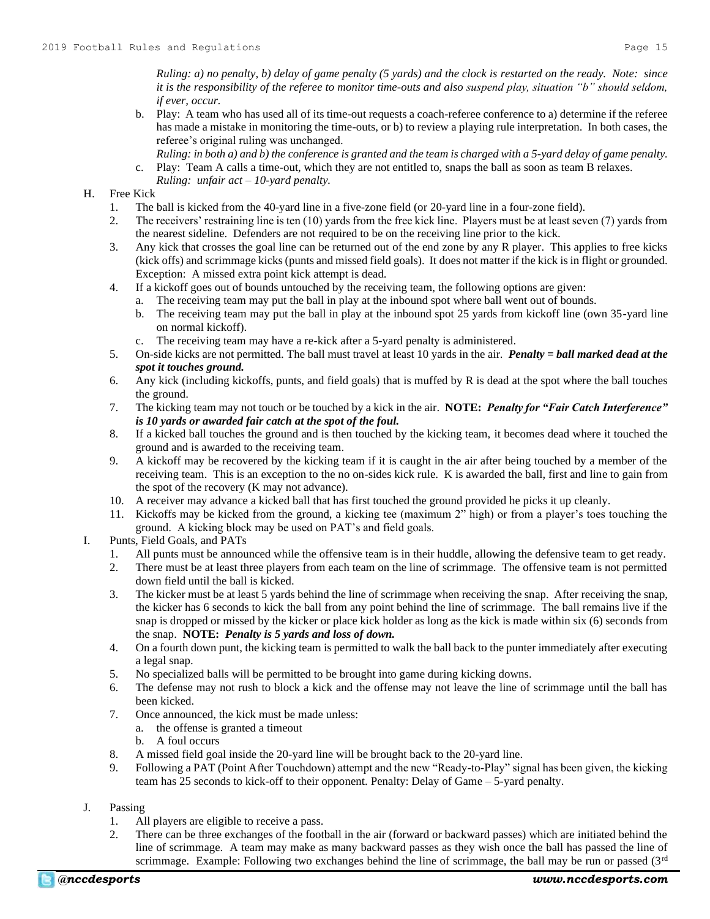*Ruling: a) no penalty, b) delay of game penalty (5 yards) and the clock is restarted on the ready. Note: since it is the responsibility of the referee to monitor time-outs and also suspend play, situation "b" should seldom, if ever, occur.*

- b. Play: A team who has used all of its time-out requests a coach-referee conference to a) determine if the referee has made a mistake in monitoring the time-outs, or b) to review a playing rule interpretation. In both cases, the referee's original ruling was unchanged.
	- *Ruling: in both a) and b) the conference is granted and the team is charged with a 5-yard delay of game penalty.*
- c. Play: Team A calls a time-out, which they are not entitled to, snaps the ball as soon as team B relaxes. *Ruling: unfair act – 10-yard penalty.*

# H. Free Kick

- 1. The ball is kicked from the 40-yard line in a five-zone field (or 20-yard line in a four-zone field).
- 2. The receivers' restraining line is ten (10) yards from the free kick line. Players must be at least seven (7) yards from the nearest sideline. Defenders are not required to be on the receiving line prior to the kick.
- 3. Any kick that crosses the goal line can be returned out of the end zone by any R player. This applies to free kicks (kick offs) and scrimmage kicks (punts and missed field goals). It does not matter if the kick is in flight or grounded. Exception: A missed extra point kick attempt is dead.
- 4. If a kickoff goes out of bounds untouched by the receiving team, the following options are given:
	- a. The receiving team may put the ball in play at the inbound spot where ball went out of bounds.
	- b. The receiving team may put the ball in play at the inbound spot 25 yards from kickoff line (own 35-yard line on normal kickoff).
	- c. The receiving team may have a re-kick after a 5-yard penalty is administered.
- 5. On-side kicks are not permitted. The ball must travel at least 10 yards in the air. *Penalty = ball marked dead at the spot it touches ground.*
- 6. Any kick (including kickoffs, punts, and field goals) that is muffed by R is dead at the spot where the ball touches the ground.
- 7. The kicking team may not touch or be touched by a kick in the air. **NOTE:** *Penalty for "Fair Catch Interference" is 10 yards or awarded fair catch at the spot of the foul.*
- 8. If a kicked ball touches the ground and is then touched by the kicking team, it becomes dead where it touched the ground and is awarded to the receiving team.
- 9. A kickoff may be recovered by the kicking team if it is caught in the air after being touched by a member of the receiving team. This is an exception to the no on-sides kick rule. K is awarded the ball, first and line to gain from the spot of the recovery (K may not advance).
- 10. A receiver may advance a kicked ball that has first touched the ground provided he picks it up cleanly.
- 11. Kickoffs may be kicked from the ground, a kicking tee (maximum 2" high) or from a player's toes touching the ground. A kicking block may be used on PAT's and field goals.
- I. Punts, Field Goals, and PATs
	- 1. All punts must be announced while the offensive team is in their huddle, allowing the defensive team to get ready.
	- 2. There must be at least three players from each team on the line of scrimmage. The offensive team is not permitted down field until the ball is kicked.
	- 3. The kicker must be at least 5 yards behind the line of scrimmage when receiving the snap. After receiving the snap, the kicker has 6 seconds to kick the ball from any point behind the line of scrimmage. The ball remains live if the snap is dropped or missed by the kicker or place kick holder as long as the kick is made within six (6) seconds from the snap. **NOTE:** *Penalty is 5 yards and loss of down.*
	- 4. On a fourth down punt, the kicking team is permitted to walk the ball back to the punter immediately after executing a legal snap.
	- 5. No specialized balls will be permitted to be brought into game during kicking downs.
	- 6. The defense may not rush to block a kick and the offense may not leave the line of scrimmage until the ball has been kicked.
	- 7. Once announced, the kick must be made unless:
		- a. the offense is granted a timeout
		- b. A foul occurs
	- 8. A missed field goal inside the 20-yard line will be brought back to the 20-yard line.
	- 9. Following a PAT (Point After Touchdown) attempt and the new "Ready-to-Play" signal has been given, the kicking team has 25 seconds to kick-off to their opponent. Penalty: Delay of Game – 5-yard penalty.
- J. Passing
	- 1. All players are eligible to receive a pass.
	- 2. There can be three exchanges of the football in the air (forward or backward passes) which are initiated behind the line of scrimmage. A team may make as many backward passes as they wish once the ball has passed the line of scrimmage. Example: Following two exchanges behind the line of scrimmage, the ball may be run or passed  $(3<sup>rd</sup>$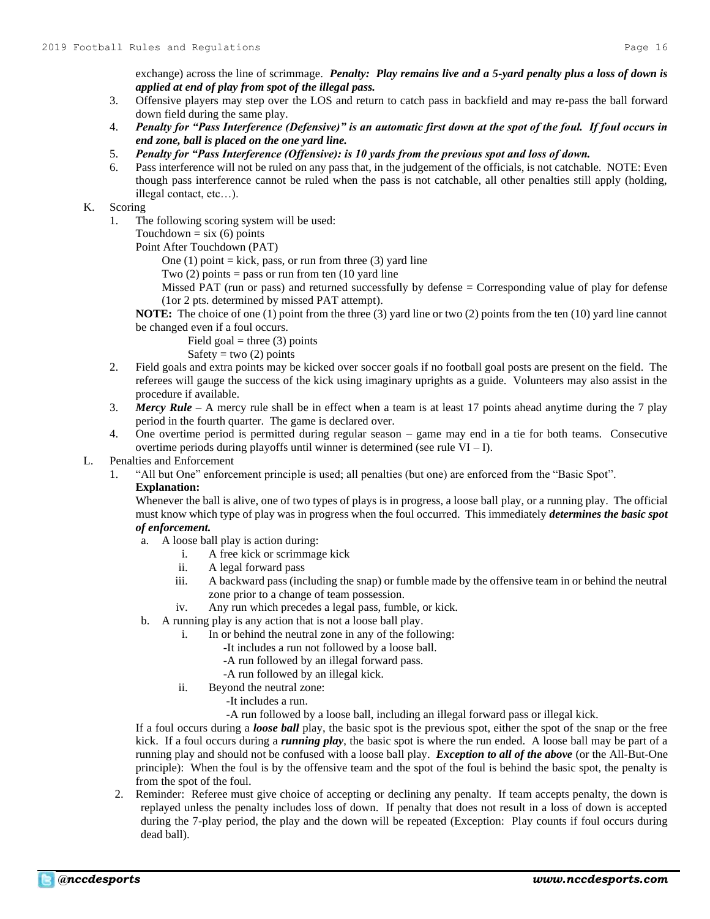exchange) across the line of scrimmage. *Penalty: Play remains live and a 5-yard penalty plus a loss of down is applied at end of play from spot of the illegal pass.*

- 3. Offensive players may step over the LOS and return to catch pass in backfield and may re-pass the ball forward down field during the same play.
- 4. *Penalty for "Pass Interference (Defensive)" is an automatic first down at the spot of the foul. If foul occurs in end zone, ball is placed on the one yard line.*
- 5. *Penalty for "Pass Interference (Offensive): is 10 yards from the previous spot and loss of down.*
- 6. Pass interference will not be ruled on any pass that, in the judgement of the officials, is not catchable. NOTE: Even though pass interference cannot be ruled when the pass is not catchable, all other penalties still apply (holding, illegal contact, etc…).

# K. Scoring

- 1. The following scoring system will be used:
	- Touchdown  $=$  six (6) points

Point After Touchdown (PAT)

- One  $(1)$  point = kick, pass, or run from three  $(3)$  yard line
- Two  $(2)$  points = pass or run from ten  $(10 \text{ yard line})$
- Missed PAT (run or pass) and returned successfully by defense = Corresponding value of play for defense (1or 2 pts. determined by missed PAT attempt).

**NOTE:** The choice of one (1) point from the three (3) yard line or two (2) points from the ten (10) yard line cannot be changed even if a foul occurs.

Field goal = three  $(3)$  points

Safety = two  $(2)$  points

- 2. Field goals and extra points may be kicked over soccer goals if no football goal posts are present on the field. The referees will gauge the success of the kick using imaginary uprights as a guide. Volunteers may also assist in the procedure if available.
- 3. *Mercy Rule* A mercy rule shall be in effect when a team is at least 17 points ahead anytime during the 7 play period in the fourth quarter. The game is declared over.
- 4. One overtime period is permitted during regular season game may end in a tie for both teams. Consecutive overtime periods during playoffs until winner is determined (see rule  $VI - I$ ).

# L. Penalties and Enforcement

1. "All but One" enforcement principle is used; all penalties (but one) are enforced from the "Basic Spot".

# **Explanation:**

Whenever the ball is alive, one of two types of plays is in progress, a loose ball play, or a running play. The official must know which type of play was in progress when the foul occurred. This immediately *determines the basic spot of enforcement.*

- a. A loose ball play is action during:
	- i. A free kick or scrimmage kick
	- ii. A legal forward pass
	- iii. A backward pass (including the snap) or fumble made by the offensive team in or behind the neutral zone prior to a change of team possession.
	- iv. Any run which precedes a legal pass, fumble, or kick.
- b. A running play is any action that is not a loose ball play.
	- i. In or behind the neutral zone in any of the following:
		- -It includes a run not followed by a loose ball.
		- -A run followed by an illegal forward pass.
		- -A run followed by an illegal kick.
	- ii. Beyond the neutral zone:
		- -It includes a run.
		- -A run followed by a loose ball, including an illegal forward pass or illegal kick.

If a foul occurs during a *loose ball* play, the basic spot is the previous spot, either the spot of the snap or the free kick. If a foul occurs during a *running play*, the basic spot is where the run ended. A loose ball may be part of a running play and should not be confused with a loose ball play. *Exception to all of the above* (or the All-But-One principle): When the foul is by the offensive team and the spot of the foul is behind the basic spot, the penalty is from the spot of the foul.

2. Reminder: Referee must give choice of accepting or declining any penalty. If team accepts penalty, the down is replayed unless the penalty includes loss of down. If penalty that does not result in a loss of down is accepted during the 7-play period, the play and the down will be repeated (Exception: Play counts if foul occurs during dead ball).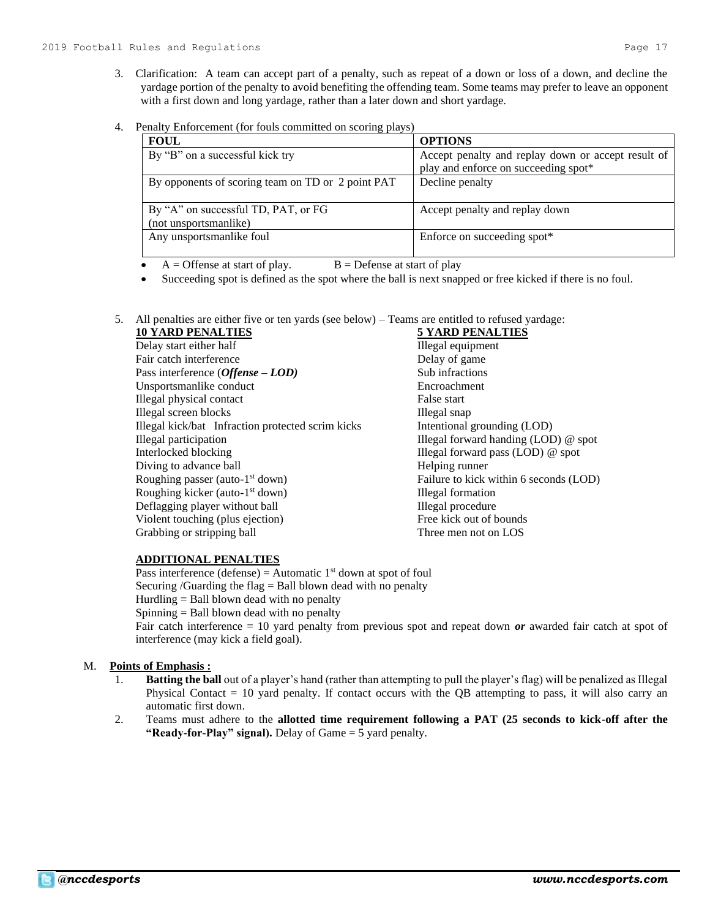- 3. Clarification: A team can accept part of a penalty, such as repeat of a down or loss of a down, and decline the yardage portion of the penalty to avoid benefiting the offending team. Some teams may prefer to leave an opponent with a first down and long yardage, rather than a later down and short yardage.
- 4. Penalty Enforcement (for fouls committed on scoring plays)

| <b>FOUL</b>                                       | <b>OPTIONS</b>                                     |
|---------------------------------------------------|----------------------------------------------------|
| By "B" on a successful kick try                   | Accept penalty and replay down or accept result of |
|                                                   | play and enforce on succeeding spot*               |
| By opponents of scoring team on TD or 2 point PAT | Decline penalty                                    |
|                                                   |                                                    |
| By "A" on successful TD, PAT, or FG               | Accept penalty and replay down                     |
| (not unsportsmanlike)                             |                                                    |
| Any unsportsmanlike foul                          | Enforce on succeeding spot*                        |
|                                                   |                                                    |

- $A =$  Offense at start of play.  $B =$  Defense at start of play
- Succeeding spot is defined as the spot where the ball is next snapped or free kicked if there is no foul.
- 5. All penalties are either five or ten yards (see below) Teams are entitled to refused yardage:

# **10 YARD PENALTIES 5 YARD PENALTIES**

Delay start either half Illegal equipment Fair catch interference Delay of game Pass interference (*Offense – LOD*) Sub infractions Unsportsmanlike conduct Encroachment Illegal physical contact False start Illegal screen blocks Illegal snap Illegal kick/bat Infraction protected scrim kicks Intentional grounding (LOD) Illegal participation Illegal forward handing (LOD) @ spot Interlocked blocking Illegal forward pass (LOD) @ spot Diving to advance ball Helping runner Roughing passer (auto-1 Roughing kicker (auto-1 Deflagging player without ball Illegal procedure Violent touching (plus ejection) Free kick out of bounds Grabbing or stripping ball Three men not on LOS

Failure to kick within 6 seconds (LOD) **Illegal formation** 

# **ADDITIONAL PENALTIES**

Pass interference (defense) = Automatic  $1<sup>st</sup>$  down at spot of foul Securing /Guarding the flag  $=$  Ball blown dead with no penalty Hurdling  $=$  Ball blown dead with no penalty Spinning = Ball blown dead with no penalty

Fair catch interference = 10 yard penalty from previous spot and repeat down *or* awarded fair catch at spot of interference (may kick a field goal).

# M. **Points of Emphasis :**

- 1. **Batting the ball** out of a player's hand (rather than attempting to pull the player's flag) will be penalized as Illegal Physical Contact = 10 yard penalty. If contact occurs with the QB attempting to pass, it will also carry an automatic first down.
- 2. Teams must adhere to the **allotted time requirement following a PAT (25 seconds to kick-off after the "Ready-for-Play" signal).** Delay of Game = 5 yard penalty.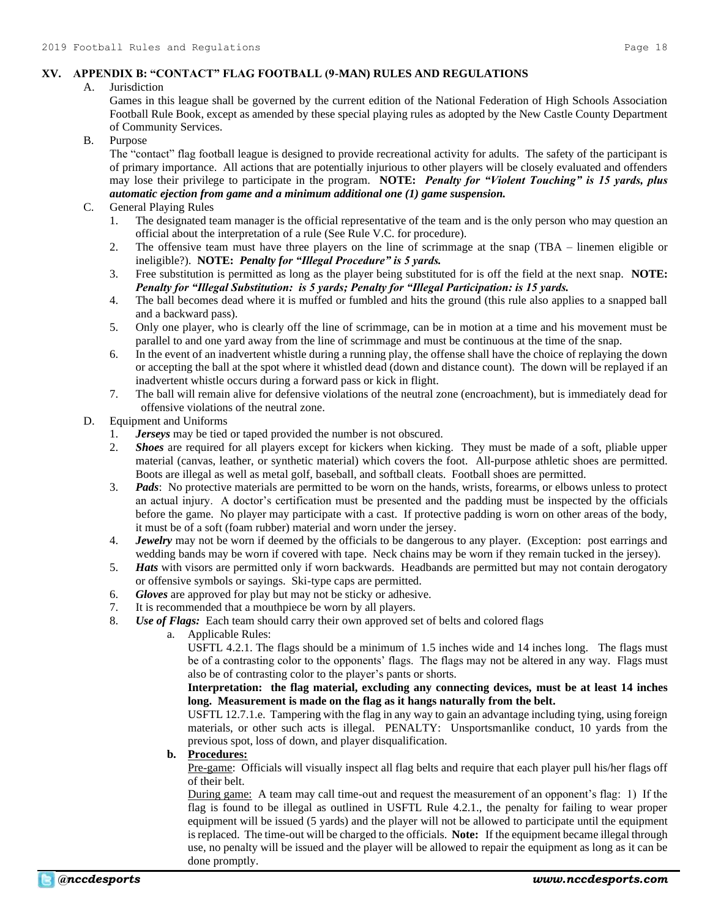# **XV. APPENDIX B: "CONTACT" FLAG FOOTBALL (9-MAN) RULES AND REGULATIONS**

# A. Jurisdiction

Games in this league shall be governed by the current edition of the National Federation of High Schools Association Football Rule Book, except as amended by these special playing rules as adopted by the New Castle County Department of Community Services.

# B. Purpose

The "contact" flag football league is designed to provide recreational activity for adults. The safety of the participant is of primary importance. All actions that are potentially injurious to other players will be closely evaluated and offenders may lose their privilege to participate in the program. **NOTE:** *Penalty for "Violent Touching" is 15 yards, plus automatic ejection from game and a minimum additional one (1) game suspension.*

# C. General Playing Rules

- 1. The designated team manager is the official representative of the team and is the only person who may question an official about the interpretation of a rule (See Rule V.C. for procedure).
- 2. The offensive team must have three players on the line of scrimmage at the snap (TBA linemen eligible or ineligible?). **NOTE:** *Penalty for "Illegal Procedure" is 5 yards.*
- 3. Free substitution is permitted as long as the player being substituted for is off the field at the next snap. **NOTE:** *Penalty for "Illegal Substitution: is 5 yards; Penalty for "Illegal Participation: is 15 yards.*
- 4. The ball becomes dead where it is muffed or fumbled and hits the ground (this rule also applies to a snapped ball and a backward pass).
- 5. Only one player, who is clearly off the line of scrimmage, can be in motion at a time and his movement must be parallel to and one yard away from the line of scrimmage and must be continuous at the time of the snap.
- 6. In the event of an inadvertent whistle during a running play, the offense shall have the choice of replaying the down or accepting the ball at the spot where it whistled dead (down and distance count). The down will be replayed if an inadvertent whistle occurs during a forward pass or kick in flight.
- 7. The ball will remain alive for defensive violations of the neutral zone (encroachment), but is immediately dead for offensive violations of the neutral zone.

# D. Equipment and Uniforms

- 1. *Jerseys* may be tied or taped provided the number is not obscured.
- 2. *Shoes* are required for all players except for kickers when kicking. They must be made of a soft, pliable upper material (canvas, leather, or synthetic material) which covers the foot. All-purpose athletic shoes are permitted. Boots are illegal as well as metal golf, baseball, and softball cleats. Football shoes are permitted.
- 3. *Pads*: No protective materials are permitted to be worn on the hands, wrists, forearms, or elbows unless to protect an actual injury. A doctor's certification must be presented and the padding must be inspected by the officials before the game. No player may participate with a cast. If protective padding is worn on other areas of the body, it must be of a soft (foam rubber) material and worn under the jersey.
- 4. *Jewelry* may not be worn if deemed by the officials to be dangerous to any player. (Exception: post earrings and wedding bands may be worn if covered with tape. Neck chains may be worn if they remain tucked in the jersey).
- 5. *Hats* with visors are permitted only if worn backwards. Headbands are permitted but may not contain derogatory or offensive symbols or sayings. Ski-type caps are permitted.
- 6. *Gloves* are approved for play but may not be sticky or adhesive.
- 7. It is recommended that a mouthpiece be worn by all players.
- 8. *Use of Flags:* Each team should carry their own approved set of belts and colored flags
	- a. Applicable Rules:

USFTL 4.2.1. The flags should be a minimum of 1.5 inches wide and 14 inches long. The flags must be of a contrasting color to the opponents' flags. The flags may not be altered in any way. Flags must also be of contrasting color to the player's pants or shorts.

**Interpretation: the flag material, excluding any connecting devices, must be at least 14 inches long. Measurement is made on the flag as it hangs naturally from the belt.**

USFTL 12.7.1.e. Tampering with the flag in any way to gain an advantage including tying, using foreign materials, or other such acts is illegal. PENALTY: Unsportsmanlike conduct, 10 yards from the previous spot, loss of down, and player disqualification.

# **b. Procedures:**

Pre-game: Officials will visually inspect all flag belts and require that each player pull his/her flags off of their belt.

During game: A team may call time-out and request the measurement of an opponent's flag: 1) If the flag is found to be illegal as outlined in USFTL Rule 4.2.1., the penalty for failing to wear proper equipment will be issued (5 yards) and the player will not be allowed to participate until the equipment is replaced. The time-out will be charged to the officials. **Note:** If the equipment became illegal through use, no penalty will be issued and the player will be allowed to repair the equipment as long as it can be done promptly.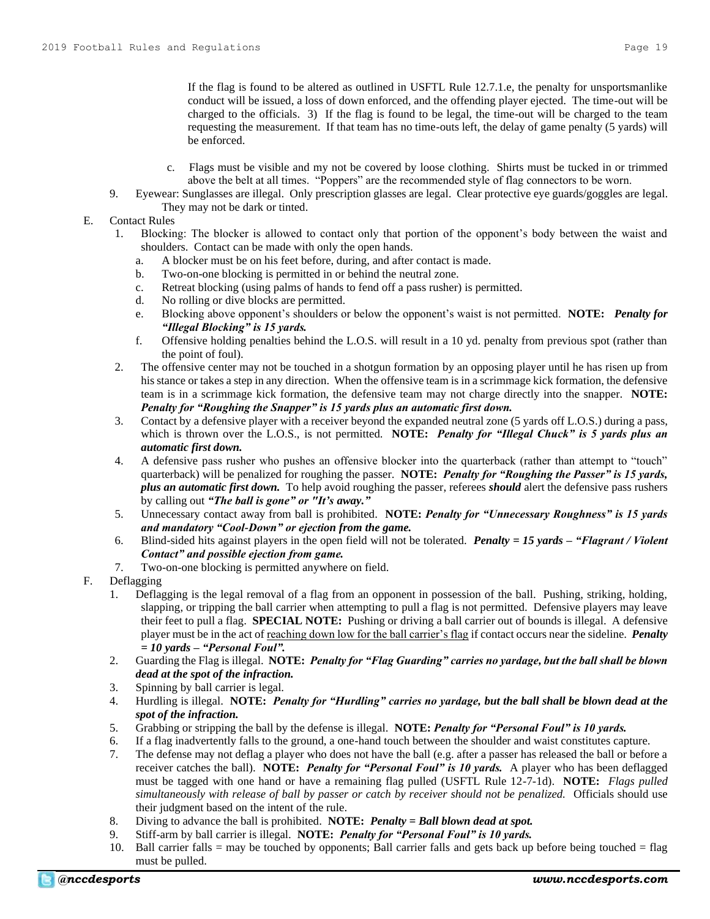If the flag is found to be altered as outlined in USFTL Rule 12.7.1.e, the penalty for unsportsmanlike conduct will be issued, a loss of down enforced, and the offending player ejected. The time-out will be charged to the officials. 3) If the flag is found to be legal, the time-out will be charged to the team requesting the measurement. If that team has no time-outs left, the delay of game penalty (5 yards) will be enforced.

- c. Flags must be visible and my not be covered by loose clothing. Shirts must be tucked in or trimmed above the belt at all times. "Poppers" are the recommended style of flag connectors to be worn.
- 9. Eyewear: Sunglasses are illegal. Only prescription glasses are legal. Clear protective eye guards/goggles are legal. They may not be dark or tinted.
- E. Contact Rules
	- 1. Blocking: The blocker is allowed to contact only that portion of the opponent's body between the waist and shoulders. Contact can be made with only the open hands.
		- a. A blocker must be on his feet before, during, and after contact is made.
		- b. Two-on-one blocking is permitted in or behind the neutral zone.
		- c. Retreat blocking (using palms of hands to fend off a pass rusher) is permitted.
		- d. No rolling or dive blocks are permitted.
		- e. Blocking above opponent's shoulders or below the opponent's waist is not permitted. **NOTE:** *Penalty for "Illegal Blocking" is 15 yards.*
		- f. Offensive holding penalties behind the L.O.S. will result in a 10 yd. penalty from previous spot (rather than the point of foul).
	- 2. The offensive center may not be touched in a shotgun formation by an opposing player until he has risen up from his stance or takes a step in any direction. When the offensive team is in a scrimmage kick formation, the defensive team is in a scrimmage kick formation, the defensive team may not charge directly into the snapper. **NOTE:**  *Penalty for "Roughing the Snapper" is 15 yards plus an automatic first down.*
	- 3. Contact by a defensive player with a receiver beyond the expanded neutral zone (5 yards off L.O.S.) during a pass, which is thrown over the L.O.S., is not permitted. **NOTE:** *Penalty for "Illegal Chuck" is 5 yards plus an automatic first down.*
	- 4. A defensive pass rusher who pushes an offensive blocker into the quarterback (rather than attempt to "touch" quarterback) will be penalized for roughing the passer. **NOTE:** *Penalty for "Roughing the Passer" is 15 yards, plus an automatic first down.* To help avoid roughing the passer, referees *should* alert the defensive pass rushers by calling out *"The ball is gone" or "It's away."*
	- 5. Unnecessary contact away from ball is prohibited. **NOTE:** *Penalty for "Unnecessary Roughness" is 15 yards and mandatory "Cool-Down" or ejection from the game.*
	- 6. Blind-sided hits against players in the open field will not be tolerated. *Penalty = 15 yards – "Flagrant / Violent Contact" and possible ejection from game.*
	- 7. Two-on-one blocking is permitted anywhere on field.
- F. Deflagging
	- 1. Deflagging is the legal removal of a flag from an opponent in possession of the ball. Pushing, striking, holding, slapping, or tripping the ball carrier when attempting to pull a flag is not permitted. Defensive players may leave their feet to pull a flag. **SPECIAL NOTE:** Pushing or driving a ball carrier out of bounds is illegal. A defensive player must be in the act of reaching down low for the ball carrier's flag if contact occurs near the sideline. *Penalty = 10 yards – "Personal Foul".*
	- 2. Guarding the Flag is illegal. **NOTE:** *Penalty for "Flag Guarding" carries no yardage, but the ball shall be blown dead at the spot of the infraction.*
	- 3. Spinning by ball carrier is legal.
	- 4. Hurdling is illegal. **NOTE:** *Penalty for "Hurdling" carries no yardage, but the ball shall be blown dead at the spot of the infraction.*
	- 5. Grabbing or stripping the ball by the defense is illegal. **NOTE:** *Penalty for "Personal Foul" is 10 yards.*
	- 6. If a flag inadvertently falls to the ground, a one-hand touch between the shoulder and waist constitutes capture.
	- 7. The defense may not deflag a player who does not have the ball (e.g. after a passer has released the ball or before a receiver catches the ball). **NOTE:** *Penalty for "Personal Foul" is 10 yards.* A player who has been deflagged must be tagged with one hand or have a remaining flag pulled (USFTL Rule 12-7-1d). **NOTE:** *Flags pulled simultaneously with release of ball by passer or catch by receiver should not be penalized.*Officials should use their judgment based on the intent of the rule.
	- 8. Diving to advance the ball is prohibited. **NOTE:** *Penalty = Ball blown dead at spot.*
	- 9. Stiff-arm by ball carrier is illegal. **NOTE:** *Penalty for "Personal Foul" is 10 yards.*
	- 10. Ball carrier falls = may be touched by opponents; Ball carrier falls and gets back up before being touched = flag must be pulled.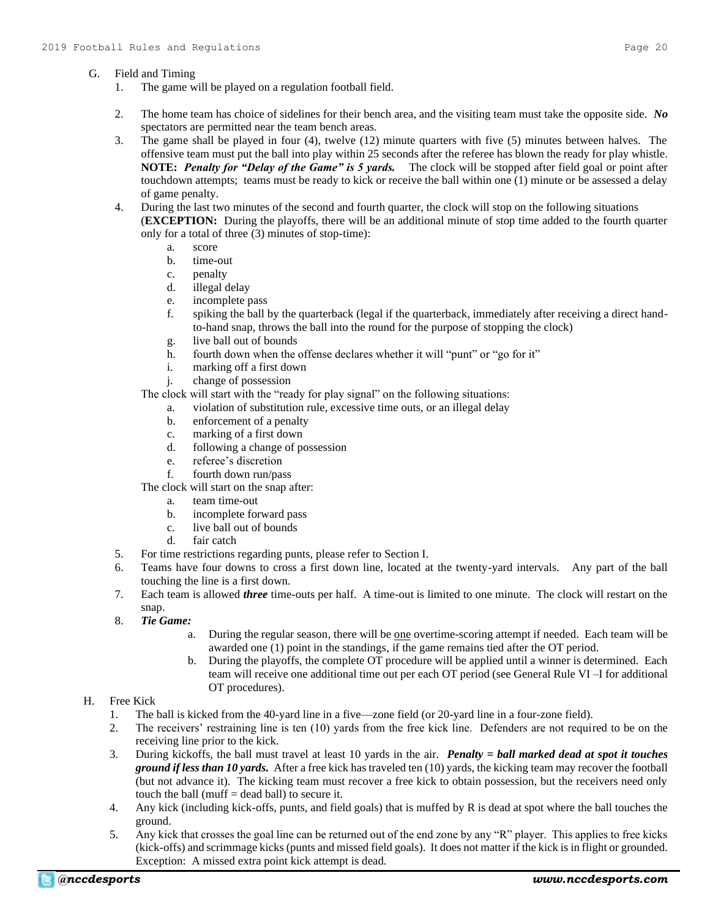# G. Field and Timing

- 1. The game will be played on a regulation football field.
- 2. The home team has choice of sidelines for their bench area, and the visiting team must take the opposite side. *No* spectators are permitted near the team bench areas.
- 3. The game shall be played in four (4), twelve (12) minute quarters with five (5) minutes between halves. The offensive team must put the ball into play within 25 seconds after the referee has blown the ready for play whistle. **NOTE:** *Penalty for "Delay of the Game" is 5 yards.* The clock will be stopped after field goal or point after touchdown attempts; teams must be ready to kick or receive the ball within one (1) minute or be assessed a delay of game penalty.
- 4. During the last two minutes of the second and fourth quarter, the clock will stop on the following situations (**EXCEPTION:** During the playoffs, there will be an additional minute of stop time added to the fourth quarter only for a total of three (3) minutes of stop-time):
	- a. score
	- b. time-out
	- c. penalty
	- d. illegal delay
	- e. incomplete pass
	- f. spiking the ball by the quarterback (legal if the quarterback, immediately after receiving a direct handto-hand snap, throws the ball into the round for the purpose of stopping the clock)
	- g. live ball out of bounds
	- h. fourth down when the offense declares whether it will "punt" or "go for it"
	- i. marking off a first down
	- j. change of possession

The clock will start with the "ready for play signal" on the following situations:

- a. violation of substitution rule, excessive time outs, or an illegal delay
- b. enforcement of a penalty
- c. marking of a first down
- d. following a change of possession
- e. referee's discretion
- f. fourth down run/pass

The clock will start on the snap after:

- a. team time-out
- b. incomplete forward pass
- c. live ball out of bounds
- d. fair catch
- 5. For time restrictions regarding punts, please refer to Section I.
- 6. Teams have four downs to cross a first down line, located at the twenty-yard intervals. Any part of the ball touching the line is a first down.
- 7. Each team is allowed *three* time-outs per half. A time-out is limited to one minute. The clock will restart on the snap.
- 8. *Tie Game:*
	- a. During the regular season, there will be <u>one</u> overtime-scoring attempt if needed. Each team will be awarded one (1) point in the standings, if the game remains tied after the OT period.
	- b. During the playoffs, the complete OT procedure will be applied until a winner is determined. Each team will receive one additional time out per each OT period (see General Rule VI –I for additional OT procedures).

# H. Free Kick

- 1. The ball is kicked from the 40-yard line in a five—zone field (or 20-yard line in a four-zone field).
- 2. The receivers' restraining line is ten (10) yards from the free kick line. Defenders are not required to be on the receiving line prior to the kick.
- 3. During kickoffs, the ball must travel at least 10 yards in the air. *Penalty = ball marked dead at spot it touches ground if less than 10 yards.* After a free kick has traveled ten (10) yards, the kicking team may recover the football (but not advance it). The kicking team must recover a free kick to obtain possession, but the receivers need only touch the ball (muff = dead ball) to secure it.
- 4. Any kick (including kick-offs, punts, and field goals) that is muffed by R is dead at spot where the ball touches the ground.
- 5. Any kick that crosses the goal line can be returned out of the end zone by any "R" player. This applies to free kicks (kick-offs) and scrimmage kicks (punts and missed field goals). It does not matter if the kick is in flight or grounded. Exception: A missed extra point kick attempt is dead.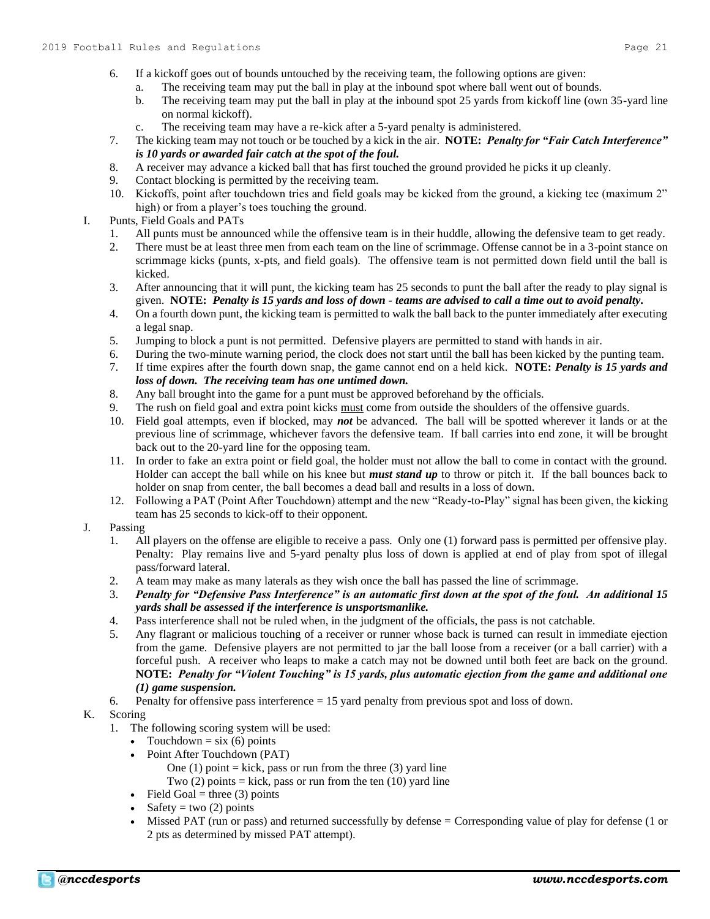- 6. If a kickoff goes out of bounds untouched by the receiving team, the following options are given:
	- a. The receiving team may put the ball in play at the inbound spot where ball went out of bounds.
		- b. The receiving team may put the ball in play at the inbound spot 25 yards from kickoff line (own 35-yard line on normal kickoff).
		- c. The receiving team may have a re-kick after a 5-yard penalty is administered.
- 7. The kicking team may not touch or be touched by a kick in the air. **NOTE:** *Penalty for "Fair Catch Interference" is 10 yards or awarded fair catch at the spot of the foul.*
- 8. A receiver may advance a kicked ball that has first touched the ground provided he picks it up cleanly.
- 9. Contact blocking is permitted by the receiving team.
- 10. Kickoffs, point after touchdown tries and field goals may be kicked from the ground, a kicking tee (maximum 2" high) or from a player's toes touching the ground.
- I. Punts, Field Goals and PATs
	- 1. All punts must be announced while the offensive team is in their huddle, allowing the defensive team to get ready.
	- 2. There must be at least three men from each team on the line of scrimmage. Offense cannot be in a 3-point stance on scrimmage kicks (punts, x-pts, and field goals). The offensive team is not permitted down field until the ball is kicked.
	- 3. After announcing that it will punt, the kicking team has 25 seconds to punt the ball after the ready to play signal is given. **NOTE:** *Penalty is 15 yards and loss of down - teams are advised to call a time out to avoid penalty.*
	- 4. On a fourth down punt, the kicking team is permitted to walk the ball back to the punter immediately after executing a legal snap.
	- 5. Jumping to block a punt is not permitted. Defensive players are permitted to stand with hands in air.
	- 6. During the two-minute warning period, the clock does not start until the ball has been kicked by the punting team.
	- 7. If time expires after the fourth down snap, the game cannot end on a held kick. **NOTE:** *Penalty is 15 yards and loss of down. The receiving team has one untimed down.*
	- 8. Any ball brought into the game for a punt must be approved beforehand by the officials.
	- 9. The rush on field goal and extra point kicks must come from outside the shoulders of the offensive guards.
	- 10. Field goal attempts, even if blocked, may *not* be advanced. The ball will be spotted wherever it lands or at the previous line of scrimmage, whichever favors the defensive team. If ball carries into end zone, it will be brought back out to the 20-yard line for the opposing team.
	- 11. In order to fake an extra point or field goal, the holder must not allow the ball to come in contact with the ground. Holder can accept the ball while on his knee but *must stand up* to throw or pitch it. If the ball bounces back to holder on snap from center, the ball becomes a dead ball and results in a loss of down.
	- 12. Following a PAT (Point After Touchdown) attempt and the new "Ready-to-Play" signal has been given, the kicking team has 25 seconds to kick-off to their opponent.
- J. Passing
	- 1. All players on the offense are eligible to receive a pass. Only one (1) forward pass is permitted per offensive play. Penalty: Play remains live and 5-yard penalty plus loss of down is applied at end of play from spot of illegal pass/forward lateral.
	- 2. A team may make as many laterals as they wish once the ball has passed the line of scrimmage.
	- 3. *Penalty for "Defensive Pass Interference" is an automatic first down at the spot of the foul. An additional 15 yards shall be assessed if the interference is unsportsmanlike.*
	- 4. Pass interference shall not be ruled when, in the judgment of the officials, the pass is not catchable.
	- 5. Any flagrant or malicious touching of a receiver or runner whose back is turned can result in immediate ejection from the game. Defensive players are not permitted to jar the ball loose from a receiver (or a ball carrier) with a forceful push. A receiver who leaps to make a catch may not be downed until both feet are back on the ground. **NOTE:** *Penalty for "Violent Touching" is 15 yards, plus automatic ejection from the game and additional one (1) game suspension.*
	- 6. Penalty for offensive pass interference = 15 yard penalty from previous spot and loss of down.

# K. Scoring

- 1. The following scoring system will be used:
	- Touchdown =  $\sin(6)$  points
	- Point After Touchdown (PAT)
		- One (1) point  $=$  kick, pass or run from the three (3) yard line
		- Two  $(2)$  points = kick, pass or run from the ten  $(10)$  yard line
	- Field Goal = three (3) points
	- Safety = two  $(2)$  points
	- Missed PAT (run or pass) and returned successfully by defense = Corresponding value of play for defense (1 or 2 pts as determined by missed PAT attempt).